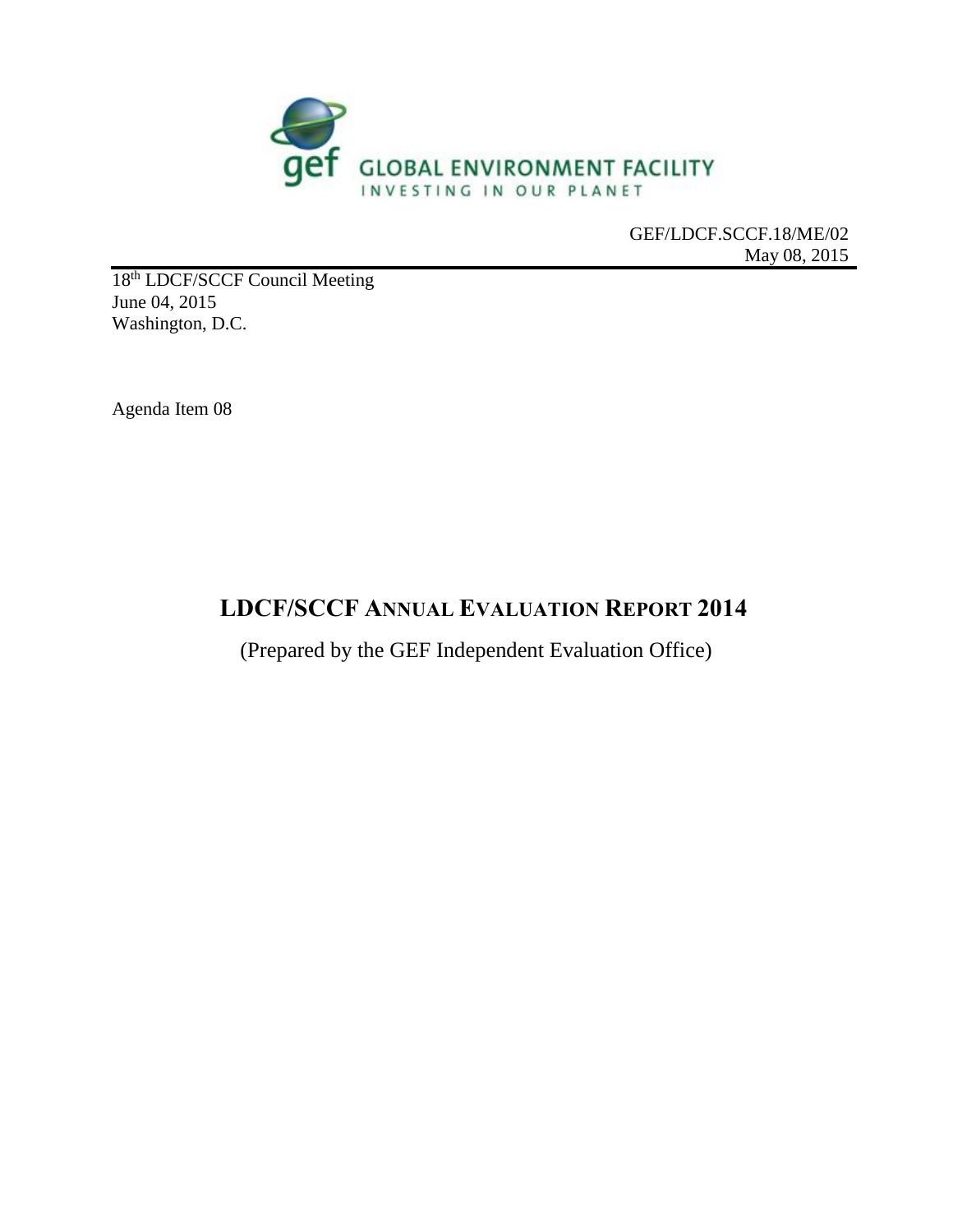

GEF/LDCF.SCCF.18/ME/02 May 08, 2015

18<sup>th</sup> LDCF/SCCF Council Meeting June 04, 2015 Washington, D.C.

Agenda Item 08

# **LDCF/SCCF ANNUAL EVALUATION REPORT 2014**

(Prepared by the GEF Independent Evaluation Office)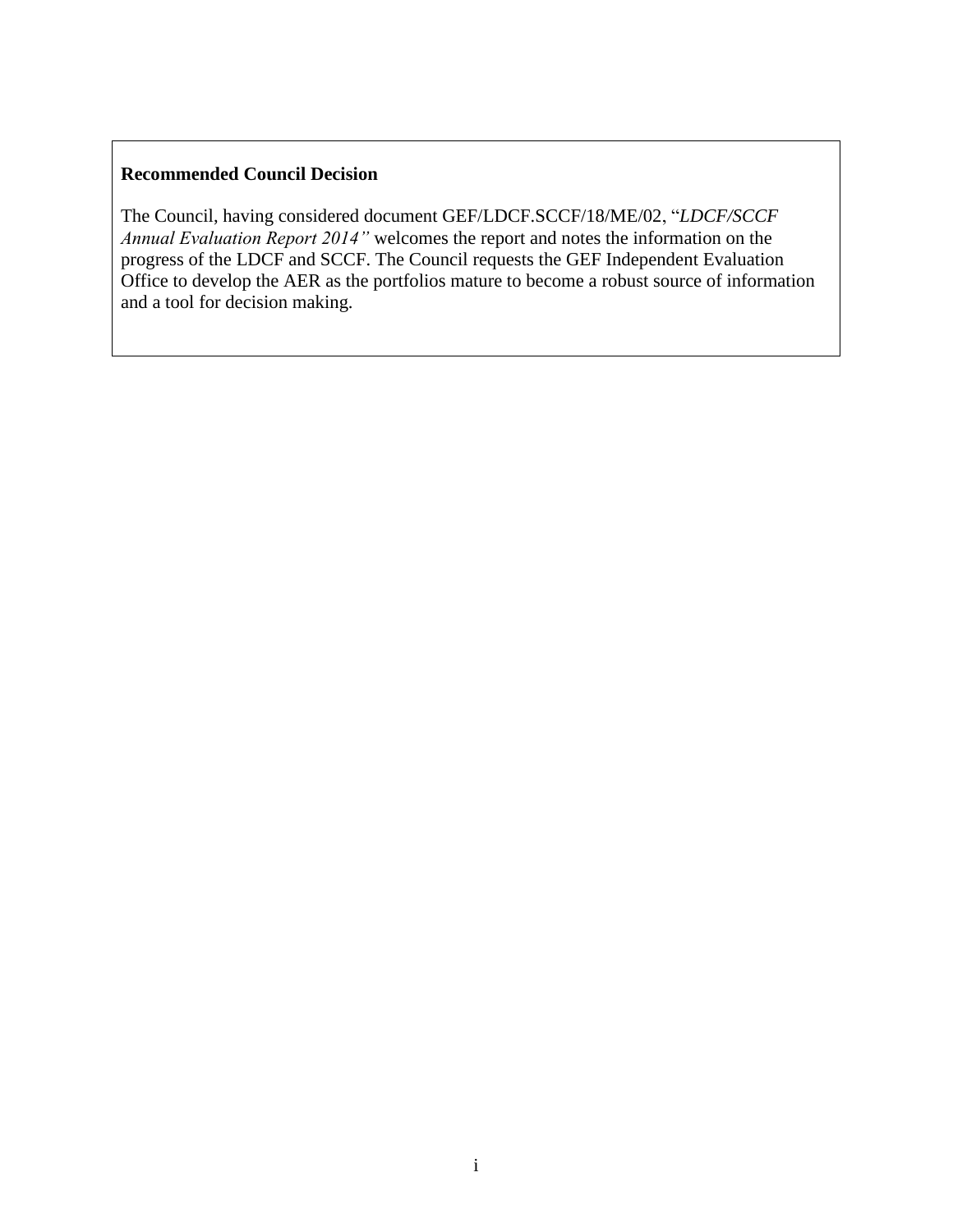# **Recommended Council Decision**

The Council, having considered document GEF/LDCF.SCCF/18/ME/02, "*LDCF/SCCF Annual Evaluation Report 2014"* welcomes the report and notes the information on the progress of the LDCF and SCCF. The Council requests the GEF Independent Evaluation Office to develop the AER as the portfolios mature to become a robust source of information and a tool for decision making.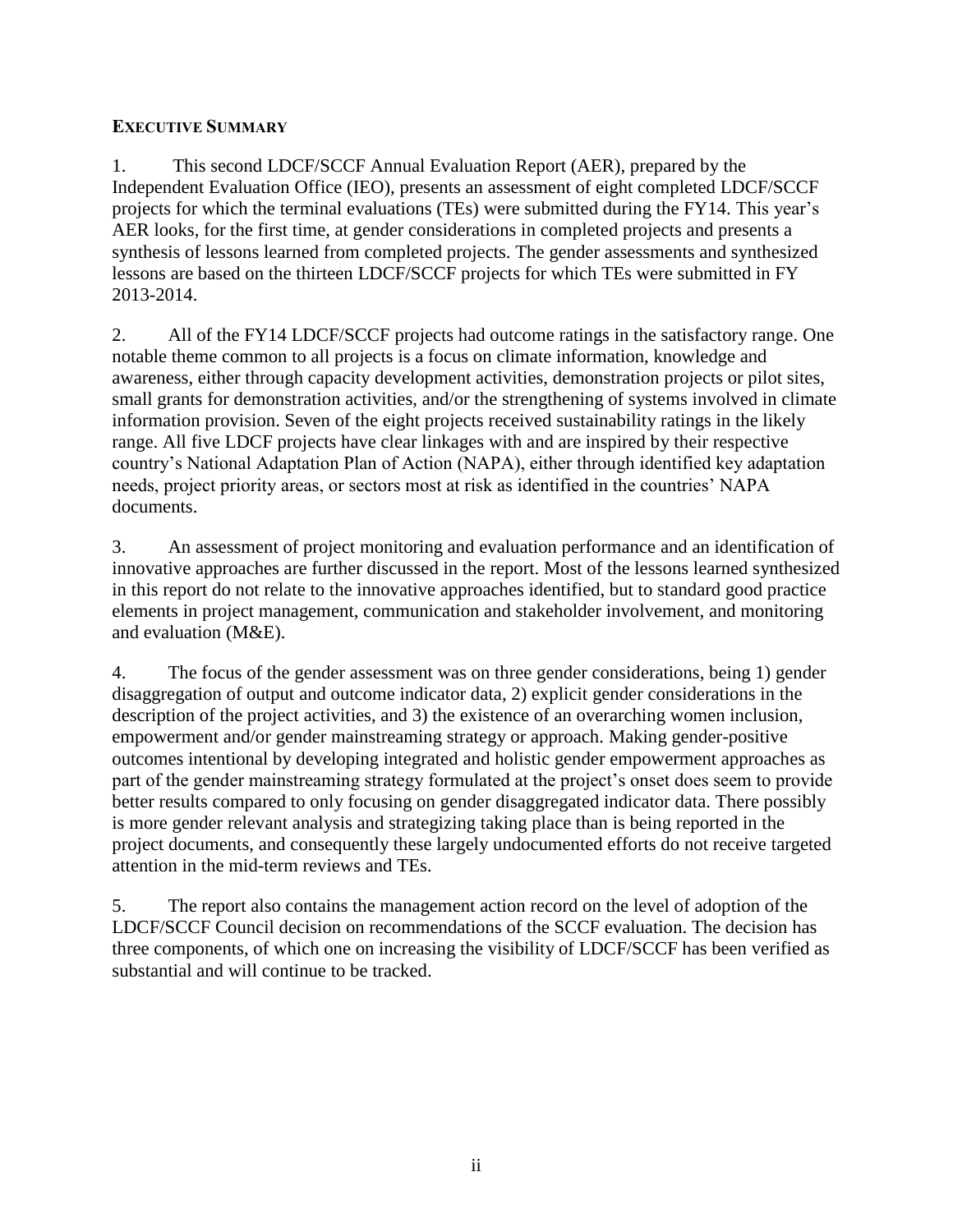### **EXECUTIVE SUMMARY**

1. This second LDCF/SCCF Annual Evaluation Report (AER), prepared by the Independent Evaluation Office (IEO), presents an assessment of eight completed LDCF/SCCF projects for which the terminal evaluations (TEs) were submitted during the FY14. This year's AER looks, for the first time, at gender considerations in completed projects and presents a synthesis of lessons learned from completed projects. The gender assessments and synthesized lessons are based on the thirteen LDCF/SCCF projects for which TEs were submitted in FY 2013-2014.

2. All of the FY14 LDCF/SCCF projects had outcome ratings in the satisfactory range. One notable theme common to all projects is a focus on climate information, knowledge and awareness, either through capacity development activities, demonstration projects or pilot sites, small grants for demonstration activities, and/or the strengthening of systems involved in climate information provision. Seven of the eight projects received sustainability ratings in the likely range. All five LDCF projects have clear linkages with and are inspired by their respective country's National Adaptation Plan of Action (NAPA), either through identified key adaptation needs, project priority areas, or sectors most at risk as identified in the countries' NAPA documents.

3. An assessment of project monitoring and evaluation performance and an identification of innovative approaches are further discussed in the report. Most of the lessons learned synthesized in this report do not relate to the innovative approaches identified, but to standard good practice elements in project management, communication and stakeholder involvement, and monitoring and evaluation (M&E).

4. The focus of the gender assessment was on three gender considerations, being 1) gender disaggregation of output and outcome indicator data, 2) explicit gender considerations in the description of the project activities, and 3) the existence of an overarching women inclusion, empowerment and/or gender mainstreaming strategy or approach. Making gender-positive outcomes intentional by developing integrated and holistic gender empowerment approaches as part of the gender mainstreaming strategy formulated at the project's onset does seem to provide better results compared to only focusing on gender disaggregated indicator data. There possibly is more gender relevant analysis and strategizing taking place than is being reported in the project documents, and consequently these largely undocumented efforts do not receive targeted attention in the mid-term reviews and TEs.

5. The report also contains the management action record on the level of adoption of the LDCF/SCCF Council decision on recommendations of the SCCF evaluation. The decision has three components, of which one on increasing the visibility of LDCF/SCCF has been verified as substantial and will continue to be tracked.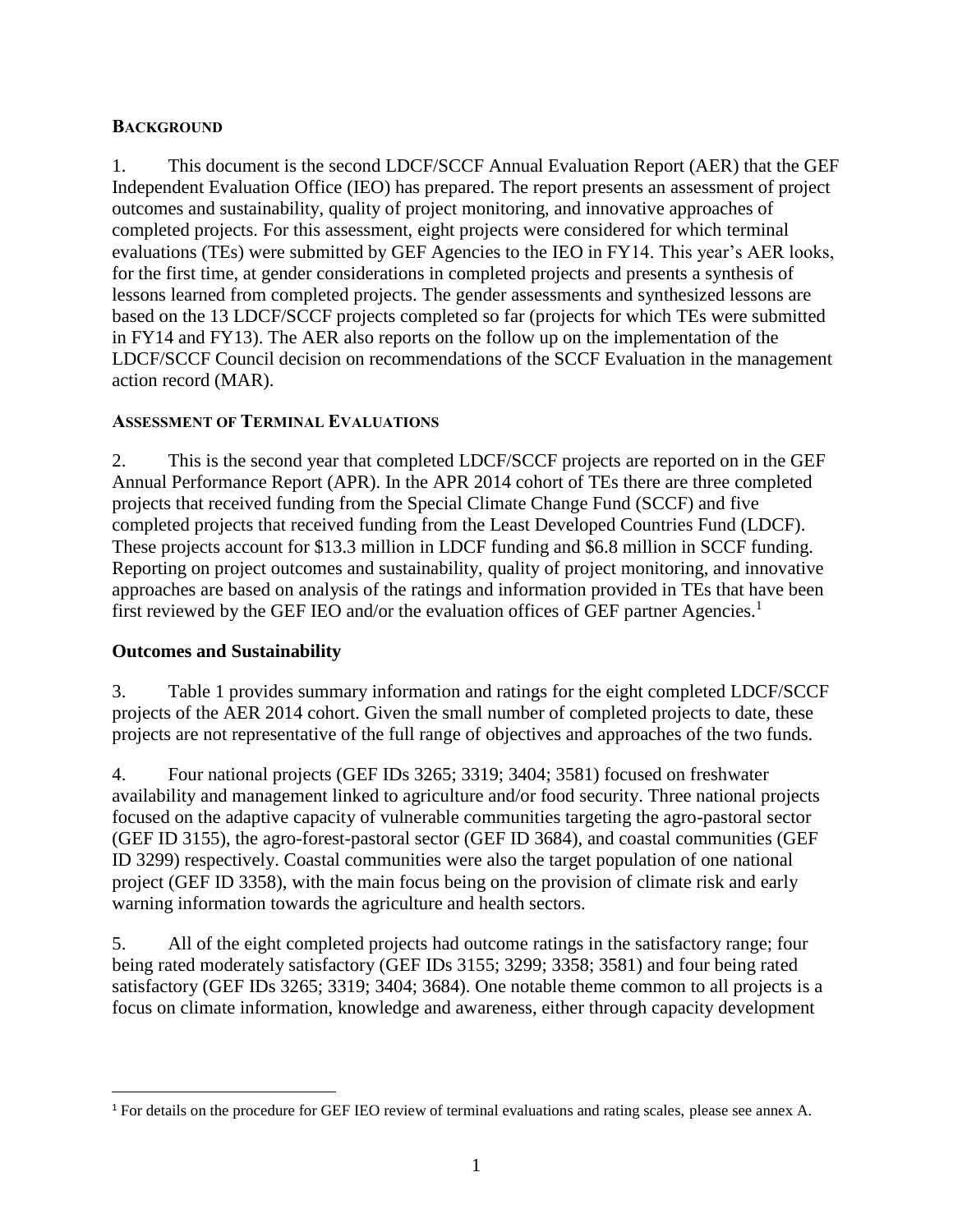#### <span id="page-4-0"></span>**BACKGROUND**

1. This document is the second LDCF/SCCF Annual Evaluation Report (AER) that the GEF Independent Evaluation Office (IEO) has prepared. The report presents an assessment of project outcomes and sustainability, quality of project monitoring, and innovative approaches of completed projects. For this assessment, eight projects were considered for which terminal evaluations (TEs) were submitted by GEF Agencies to the IEO in FY14. This year's AER looks, for the first time, at gender considerations in completed projects and presents a synthesis of lessons learned from completed projects. The gender assessments and synthesized lessons are based on the 13 LDCF/SCCF projects completed so far (projects for which TEs were submitted in FY14 and FY13). The AER also reports on the follow up on the implementation of the LDCF/SCCF Council decision on recommendations of the SCCF Evaluation in the management action record (MAR).

#### <span id="page-4-1"></span>**ASSESSMENT OF TERMINAL EVALUATIONS**

2. This is the second year that completed LDCF/SCCF projects are reported on in the GEF Annual Performance Report (APR). In the APR 2014 cohort of TEs there are three completed projects that received funding from the Special Climate Change Fund (SCCF) and five completed projects that received funding from the Least Developed Countries Fund (LDCF). These projects account for \$13.3 million in LDCF funding and \$6.8 million in SCCF funding. Reporting on project outcomes and sustainability, quality of project monitoring, and innovative approaches are based on analysis of the ratings and information provided in TEs that have been first reviewed by the GEF IEO and/or the evaluation offices of GEF partner Agencies.<sup>1</sup>

#### <span id="page-4-2"></span>**Outcomes and Sustainability**

 $\overline{a}$ 

3. Table 1 provides summary information and ratings for the eight completed LDCF/SCCF projects of the AER 2014 cohort. Given the small number of completed projects to date, these projects are not representative of the full range of objectives and approaches of the two funds.

4. Four national projects (GEF IDs 3265; 3319; 3404; 3581) focused on freshwater availability and management linked to agriculture and/or food security. Three national projects focused on the adaptive capacity of vulnerable communities targeting the agro-pastoral sector (GEF ID 3155), the agro-forest-pastoral sector (GEF ID 3684), and coastal communities (GEF ID 3299) respectively. Coastal communities were also the target population of one national project (GEF ID 3358), with the main focus being on the provision of climate risk and early warning information towards the agriculture and health sectors.

5. All of the eight completed projects had outcome ratings in the satisfactory range; four being rated moderately satisfactory (GEF IDs 3155; 3299; 3358; 3581) and four being rated satisfactory (GEF IDs 3265; 3319; 3404; 3684). One notable theme common to all projects is a focus on climate information, knowledge and awareness, either through capacity development

<sup>1</sup> For details on the procedure for GEF IEO review of terminal evaluations and rating scales, please see annex A.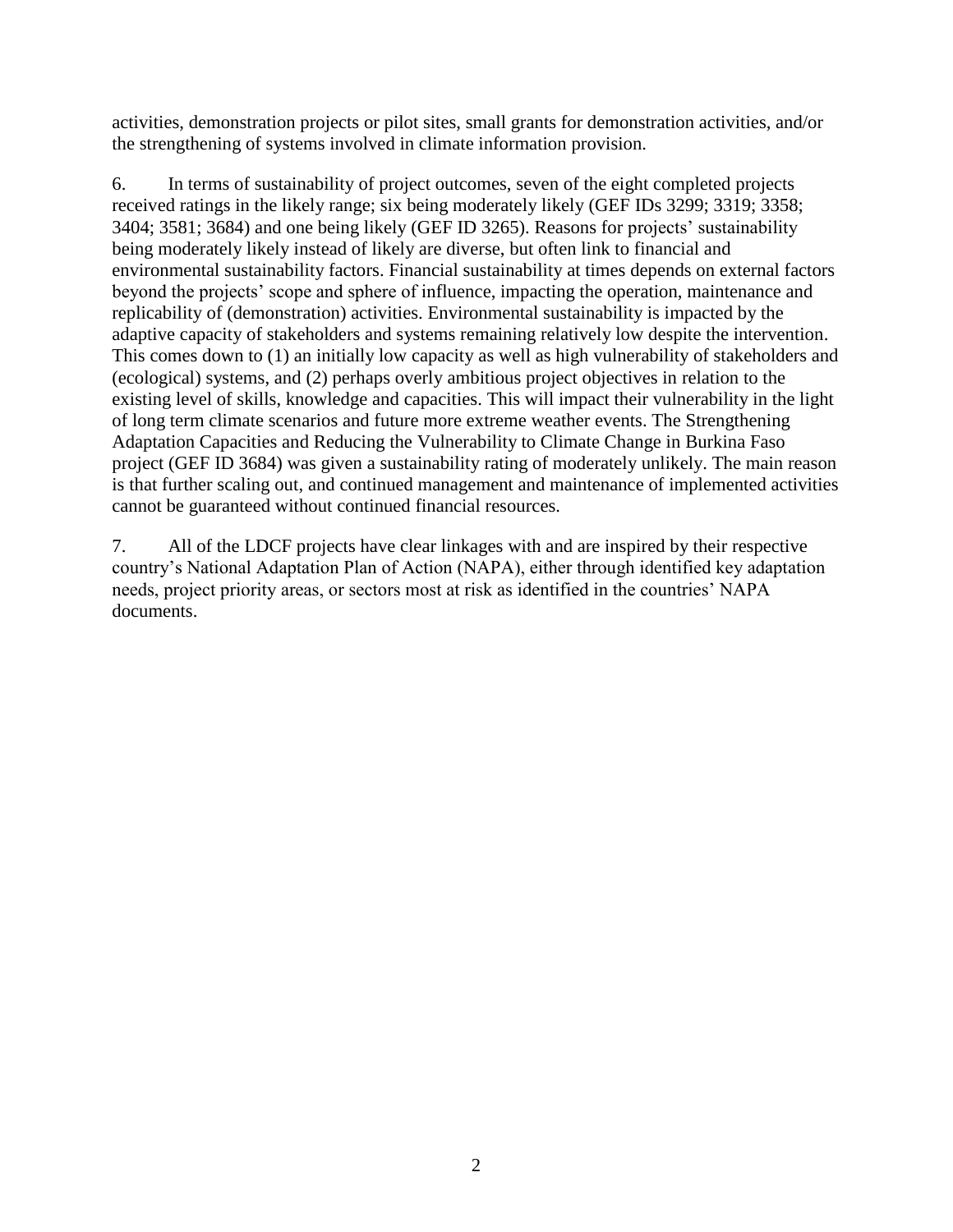activities, demonstration projects or pilot sites, small grants for demonstration activities, and/or the strengthening of systems involved in climate information provision.

6. In terms of sustainability of project outcomes, seven of the eight completed projects received ratings in the likely range; six being moderately likely (GEF IDs 3299; 3319; 3358; 3404; 3581; 3684) and one being likely (GEF ID 3265). Reasons for projects' sustainability being moderately likely instead of likely are diverse, but often link to financial and environmental sustainability factors. Financial sustainability at times depends on external factors beyond the projects' scope and sphere of influence, impacting the operation, maintenance and replicability of (demonstration) activities. Environmental sustainability is impacted by the adaptive capacity of stakeholders and systems remaining relatively low despite the intervention. This comes down to (1) an initially low capacity as well as high vulnerability of stakeholders and (ecological) systems, and (2) perhaps overly ambitious project objectives in relation to the existing level of skills, knowledge and capacities. This will impact their vulnerability in the light of long term climate scenarios and future more extreme weather events. The Strengthening Adaptation Capacities and Reducing the Vulnerability to Climate Change in Burkina Faso project (GEF ID 3684) was given a sustainability rating of moderately unlikely. The main reason is that further scaling out, and continued management and maintenance of implemented activities cannot be guaranteed without continued financial resources.

7. All of the LDCF projects have clear linkages with and are inspired by their respective country's National Adaptation Plan of Action (NAPA), either through identified key adaptation needs, project priority areas, or sectors most at risk as identified in the countries' NAPA documents.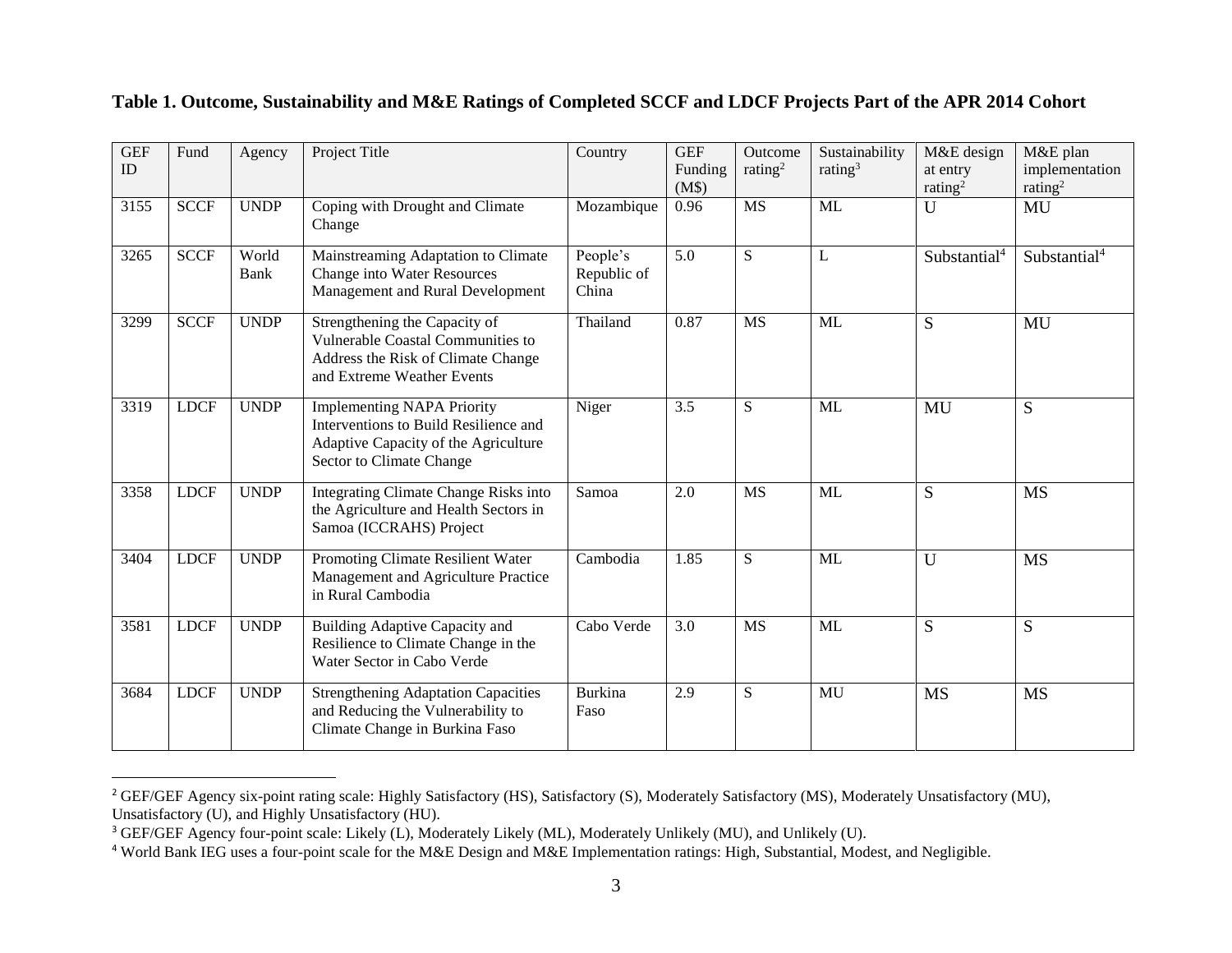| <b>GEF</b><br>ID | Fund        | Agency        | Project Title                                                                                                                                  | Country                          | <b>GEF</b><br>Funding<br>(M\$) | Outcome<br>rating <sup>2</sup> | Sustainability<br>rating <sup>3</sup> | M&E design<br>at entry<br>rating <sup>2</sup> | M&E plan<br>implementation<br>rating <sup>2</sup> |
|------------------|-------------|---------------|------------------------------------------------------------------------------------------------------------------------------------------------|----------------------------------|--------------------------------|--------------------------------|---------------------------------------|-----------------------------------------------|---------------------------------------------------|
| 3155             | <b>SCCF</b> | <b>UNDP</b>   | Coping with Drought and Climate<br>Change                                                                                                      | Mozambique                       | 0.96                           | <b>MS</b>                      | <b>ML</b>                             | $\mathbf{U}$                                  | MU                                                |
| 3265             | <b>SCCF</b> | World<br>Bank | Mainstreaming Adaptation to Climate<br>Change into Water Resources<br>Management and Rural Development                                         | People's<br>Republic of<br>China | 5.0                            | S                              | L                                     | Substantial <sup>4</sup>                      | Substantial <sup>4</sup>                          |
| 3299             | <b>SCCF</b> | <b>UNDP</b>   | Strengthening the Capacity of<br>Vulnerable Coastal Communities to<br>Address the Risk of Climate Change<br>and Extreme Weather Events         | Thailand                         | 0.87                           | <b>MS</b>                      | ML                                    | S                                             | MU                                                |
| 3319             | <b>LDCF</b> | <b>UNDP</b>   | <b>Implementing NAPA Priority</b><br>Interventions to Build Resilience and<br>Adaptive Capacity of the Agriculture<br>Sector to Climate Change | Niger                            | 3.5                            | S                              | ML                                    | MU                                            | S                                                 |
| 3358             | <b>LDCF</b> | <b>UNDP</b>   | Integrating Climate Change Risks into<br>the Agriculture and Health Sectors in<br>Samoa (ICCRAHS) Project                                      | Samoa                            | 2.0                            | <b>MS</b>                      | ML                                    | S                                             | <b>MS</b>                                         |
| 3404             | <b>LDCF</b> | <b>UNDP</b>   | Promoting Climate Resilient Water<br>Management and Agriculture Practice<br>in Rural Cambodia                                                  | Cambodia                         | 1.85                           | S                              | <b>ML</b>                             | $\mathbf U$                                   | <b>MS</b>                                         |
| 3581             | <b>LDCF</b> | <b>UNDP</b>   | Building Adaptive Capacity and<br>Resilience to Climate Change in the<br>Water Sector in Cabo Verde                                            | Cabo Verde                       | 3.0                            | <b>MS</b>                      | ML                                    | S                                             | S                                                 |
| 3684             | <b>LDCF</b> | <b>UNDP</b>   | <b>Strengthening Adaptation Capacities</b><br>and Reducing the Vulnerability to<br>Climate Change in Burkina Faso                              | <b>Burkina</b><br>Faso           | 2.9                            | S                              | MU                                    | <b>MS</b>                                     | <b>MS</b>                                         |

#### **Table 1. Outcome, Sustainability and M&E Ratings of Completed SCCF and LDCF Projects Part of the APR 2014 Cohort**

 $\overline{a}$ 

<sup>&</sup>lt;sup>2</sup> GEF/GEF Agency six-point rating scale: Highly Satisfactory (HS), Satisfactory (S), Moderately Satisfactory (MS), Moderately Unsatisfactory (MU), Unsatisfactory (U), and Highly Unsatisfactory (HU).

<sup>&</sup>lt;sup>3</sup> GEF/GEF Agency four-point scale: Likely (L), Moderately Likely (ML), Moderately Unlikely (MU), and Unlikely (U).

<sup>4</sup> World Bank IEG uses a four-point scale for the M&E Design and M&E Implementation ratings: High, Substantial, Modest, and Negligible.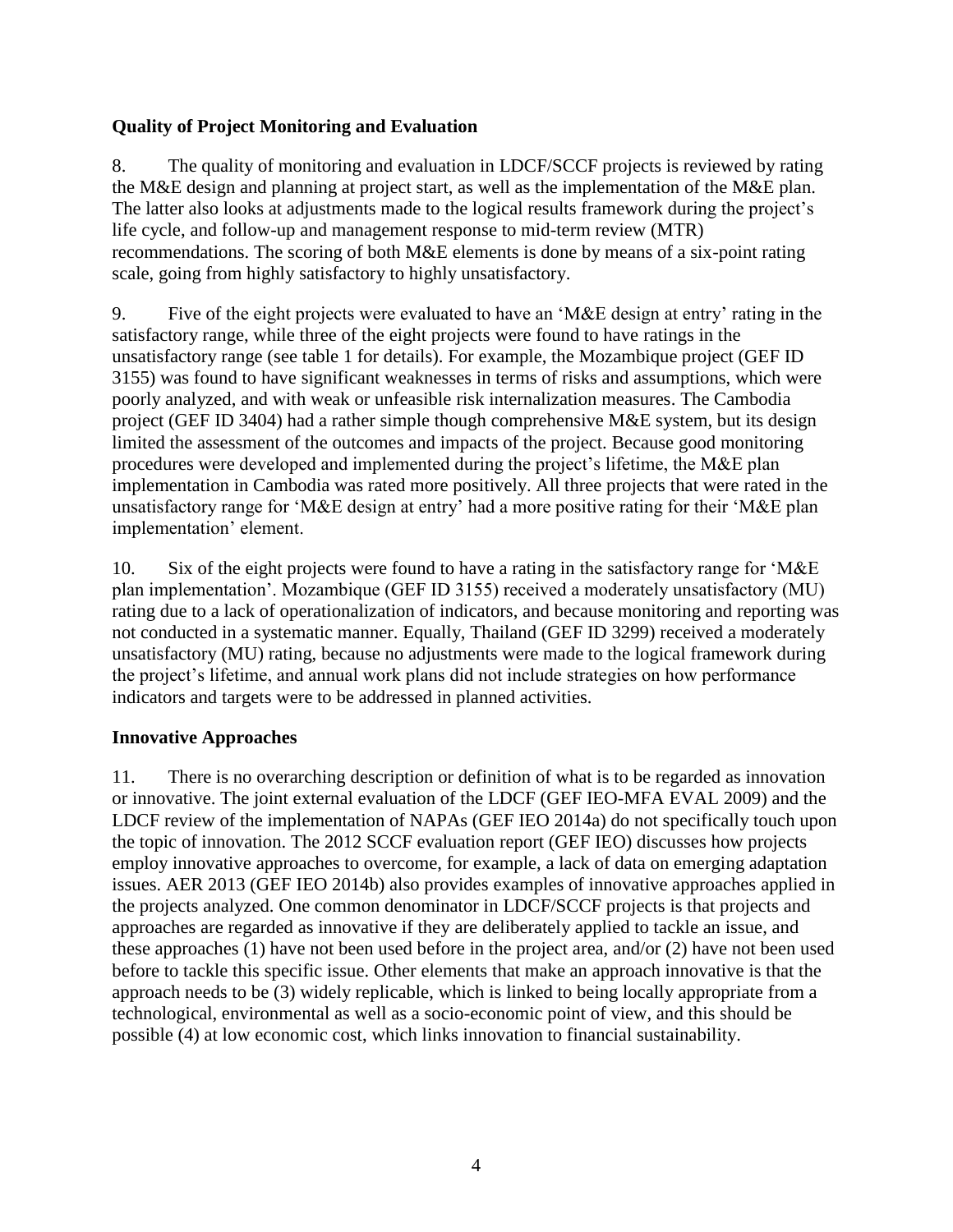### <span id="page-7-0"></span>**Quality of Project Monitoring and Evaluation**

8. The quality of monitoring and evaluation in LDCF/SCCF projects is reviewed by rating the M&E design and planning at project start, as well as the implementation of the M&E plan. The latter also looks at adjustments made to the logical results framework during the project's life cycle, and follow-up and management response to mid-term review (MTR) recommendations. The scoring of both M&E elements is done by means of a six-point rating scale, going from highly satisfactory to highly unsatisfactory.

9. Five of the eight projects were evaluated to have an 'M&E design at entry' rating in the satisfactory range, while three of the eight projects were found to have ratings in the unsatisfactory range (see table 1 for details). For example, the Mozambique project (GEF ID 3155) was found to have significant weaknesses in terms of risks and assumptions, which were poorly analyzed, and with weak or unfeasible risk internalization measures. The Cambodia project (GEF ID 3404) had a rather simple though comprehensive M&E system, but its design limited the assessment of the outcomes and impacts of the project. Because good monitoring procedures were developed and implemented during the project's lifetime, the M&E plan implementation in Cambodia was rated more positively. All three projects that were rated in the unsatisfactory range for 'M&E design at entry' had a more positive rating for their 'M&E plan implementation' element.

10. Six of the eight projects were found to have a rating in the satisfactory range for 'M&E plan implementation'. Mozambique (GEF ID 3155) received a moderately unsatisfactory (MU) rating due to a lack of operationalization of indicators, and because monitoring and reporting was not conducted in a systematic manner. Equally, Thailand (GEF ID 3299) received a moderately unsatisfactory (MU) rating, because no adjustments were made to the logical framework during the project's lifetime, and annual work plans did not include strategies on how performance indicators and targets were to be addressed in planned activities.

#### <span id="page-7-1"></span>**Innovative Approaches**

11. There is no overarching description or definition of what is to be regarded as innovation or innovative. The joint external evaluation of the LDCF (GEF IEO-MFA EVAL 2009) and the LDCF review of the implementation of NAPAs (GEF IEO 2014a) do not specifically touch upon the topic of innovation. The 2012 SCCF evaluation report (GEF IEO) discusses how projects employ innovative approaches to overcome, for example, a lack of data on emerging adaptation issues. AER 2013 (GEF IEO 2014b) also provides examples of innovative approaches applied in the projects analyzed. One common denominator in LDCF/SCCF projects is that projects and approaches are regarded as innovative if they are deliberately applied to tackle an issue, and these approaches (1) have not been used before in the project area, and/or (2) have not been used before to tackle this specific issue. Other elements that make an approach innovative is that the approach needs to be (3) widely replicable, which is linked to being locally appropriate from a technological, environmental as well as a socio-economic point of view, and this should be possible (4) at low economic cost, which links innovation to financial sustainability.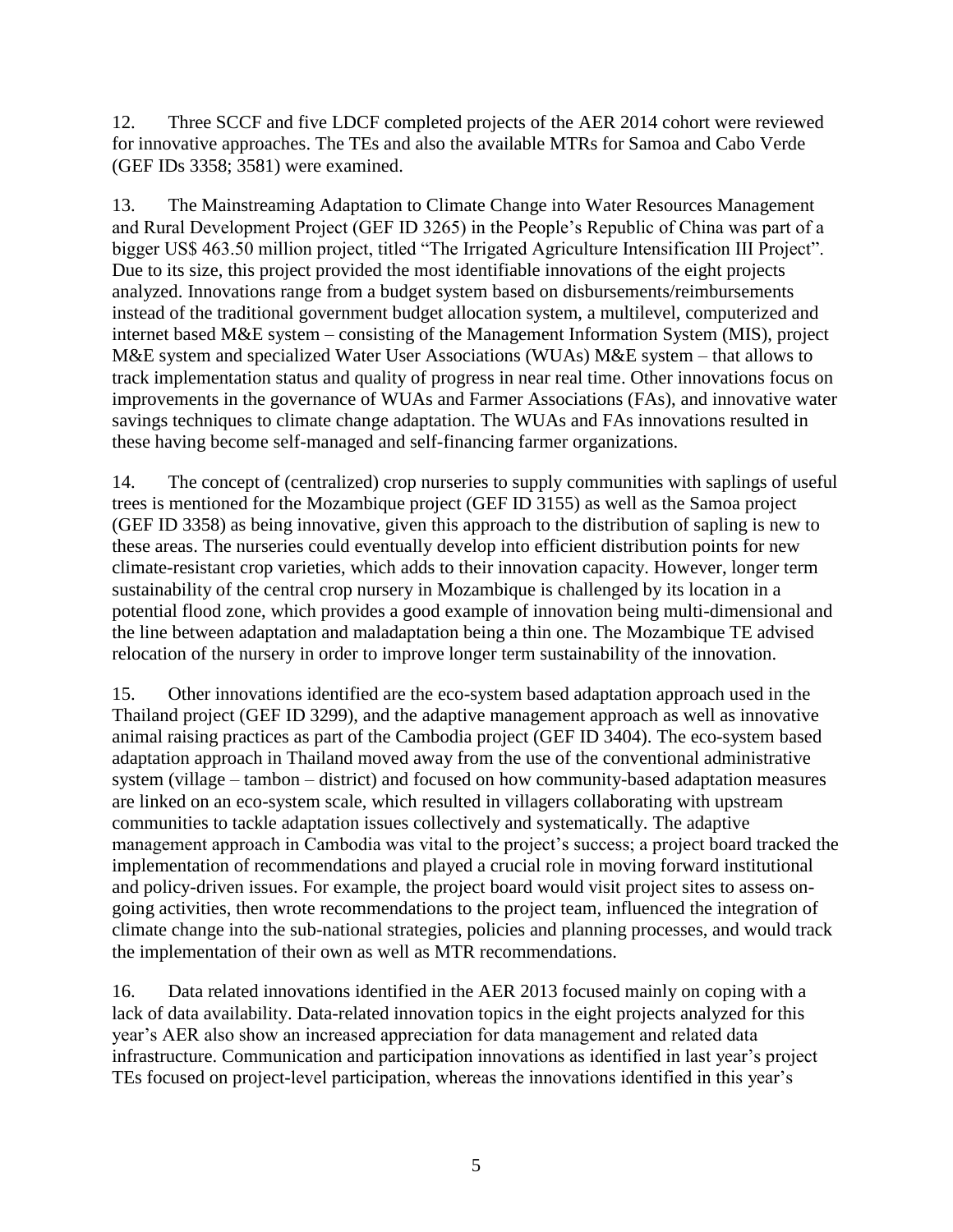12. Three SCCF and five LDCF completed projects of the AER 2014 cohort were reviewed for innovative approaches. The TEs and also the available MTRs for Samoa and Cabo Verde (GEF IDs 3358; 3581) were examined.

13. The Mainstreaming Adaptation to Climate Change into Water Resources Management and Rural Development Project (GEF ID 3265) in the People's Republic of China was part of a bigger US\$ 463.50 million project, titled "The Irrigated Agriculture Intensification III Project". Due to its size, this project provided the most identifiable innovations of the eight projects analyzed. Innovations range from a budget system based on disbursements/reimbursements instead of the traditional government budget allocation system, a multilevel, computerized and internet based M&E system – consisting of the Management Information System (MIS), project M&E system and specialized Water User Associations (WUAs) M&E system – that allows to track implementation status and quality of progress in near real time. Other innovations focus on improvements in the governance of WUAs and Farmer Associations (FAs), and innovative water savings techniques to climate change adaptation. The WUAs and FAs innovations resulted in these having become self-managed and self-financing farmer organizations.

14. The concept of (centralized) crop nurseries to supply communities with saplings of useful trees is mentioned for the Mozambique project (GEF ID 3155) as well as the Samoa project (GEF ID 3358) as being innovative, given this approach to the distribution of sapling is new to these areas. The nurseries could eventually develop into efficient distribution points for new climate-resistant crop varieties, which adds to their innovation capacity. However, longer term sustainability of the central crop nursery in Mozambique is challenged by its location in a potential flood zone, which provides a good example of innovation being multi-dimensional and the line between adaptation and maladaptation being a thin one. The Mozambique TE advised relocation of the nursery in order to improve longer term sustainability of the innovation.

15. Other innovations identified are the eco-system based adaptation approach used in the Thailand project (GEF ID 3299), and the adaptive management approach as well as innovative animal raising practices as part of the Cambodia project (GEF ID 3404). The eco-system based adaptation approach in Thailand moved away from the use of the conventional administrative system (village – tambon – district) and focused on how community-based adaptation measures are linked on an eco-system scale, which resulted in villagers collaborating with upstream communities to tackle adaptation issues collectively and systematically. The adaptive management approach in Cambodia was vital to the project's success; a project board tracked the implementation of recommendations and played a crucial role in moving forward institutional and policy-driven issues. For example, the project board would visit project sites to assess ongoing activities, then wrote recommendations to the project team, influenced the integration of climate change into the sub-national strategies, policies and planning processes, and would track the implementation of their own as well as MTR recommendations.

16. Data related innovations identified in the AER 2013 focused mainly on coping with a lack of data availability. Data-related innovation topics in the eight projects analyzed for this year's AER also show an increased appreciation for data management and related data infrastructure. Communication and participation innovations as identified in last year's project TEs focused on project-level participation, whereas the innovations identified in this year's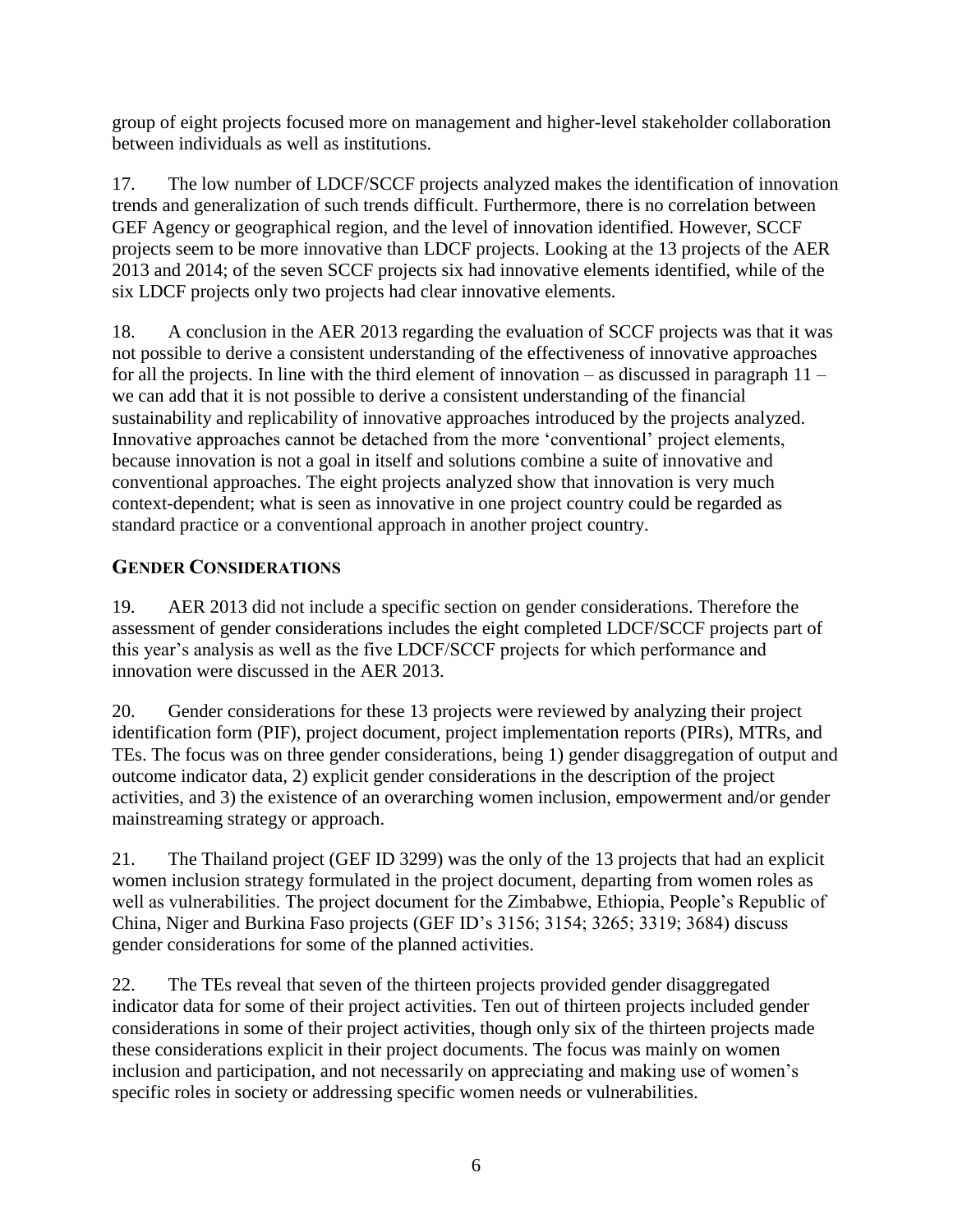group of eight projects focused more on management and higher-level stakeholder collaboration between individuals as well as institutions.

17. The low number of LDCF/SCCF projects analyzed makes the identification of innovation trends and generalization of such trends difficult. Furthermore, there is no correlation between GEF Agency or geographical region, and the level of innovation identified. However, SCCF projects seem to be more innovative than LDCF projects. Looking at the 13 projects of the AER 2013 and 2014; of the seven SCCF projects six had innovative elements identified, while of the six LDCF projects only two projects had clear innovative elements.

18. A conclusion in the AER 2013 regarding the evaluation of SCCF projects was that it was not possible to derive a consistent understanding of the effectiveness of innovative approaches for all the projects. In line with the third element of innovation – as discussed in paragraph  $11$ we can add that it is not possible to derive a consistent understanding of the financial sustainability and replicability of innovative approaches introduced by the projects analyzed. Innovative approaches cannot be detached from the more 'conventional' project elements, because innovation is not a goal in itself and solutions combine a suite of innovative and conventional approaches. The eight projects analyzed show that innovation is very much context-dependent; what is seen as innovative in one project country could be regarded as standard practice or a conventional approach in another project country.

# <span id="page-9-0"></span>**GENDER CONSIDERATIONS**

19. AER 2013 did not include a specific section on gender considerations. Therefore the assessment of gender considerations includes the eight completed LDCF/SCCF projects part of this year's analysis as well as the five LDCF/SCCF projects for which performance and innovation were discussed in the AER 2013.

20. Gender considerations for these 13 projects were reviewed by analyzing their project identification form (PIF), project document, project implementation reports (PIRs), MTRs, and TEs. The focus was on three gender considerations, being 1) gender disaggregation of output and outcome indicator data, 2) explicit gender considerations in the description of the project activities, and 3) the existence of an overarching women inclusion, empowerment and/or gender mainstreaming strategy or approach.

21. The Thailand project (GEF ID 3299) was the only of the 13 projects that had an explicit women inclusion strategy formulated in the project document, departing from women roles as well as vulnerabilities. The project document for the Zimbabwe, Ethiopia, People's Republic of China, Niger and Burkina Faso projects (GEF ID's 3156; 3154; 3265; 3319; 3684) discuss gender considerations for some of the planned activities.

22. The TEs reveal that seven of the thirteen projects provided gender disaggregated indicator data for some of their project activities. Ten out of thirteen projects included gender considerations in some of their project activities, though only six of the thirteen projects made these considerations explicit in their project documents. The focus was mainly on women inclusion and participation, and not necessarily on appreciating and making use of women's specific roles in society or addressing specific women needs or vulnerabilities.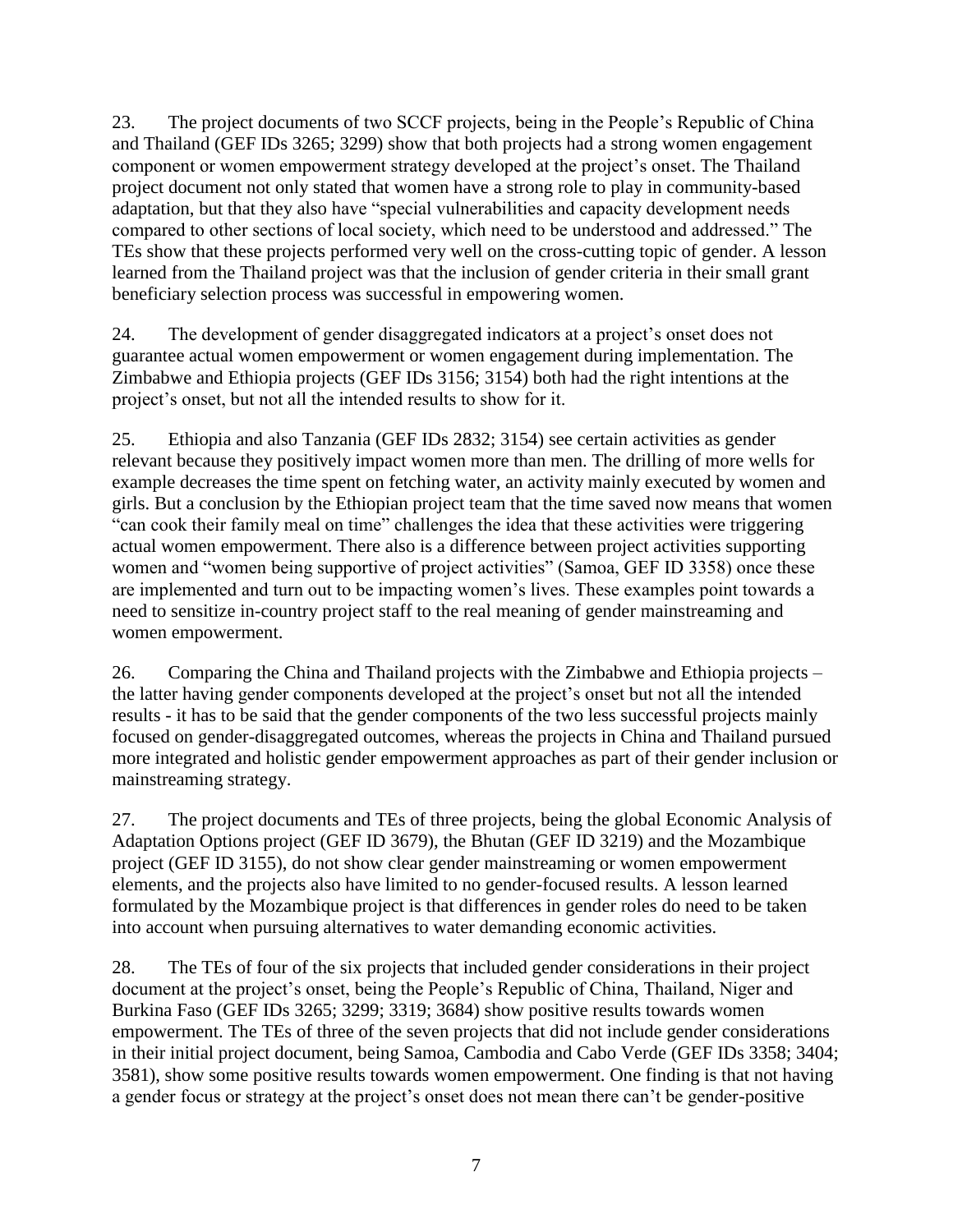23. The project documents of two SCCF projects, being in the People's Republic of China and Thailand (GEF IDs 3265; 3299) show that both projects had a strong women engagement component or women empowerment strategy developed at the project's onset. The Thailand project document not only stated that women have a strong role to play in community-based adaptation, but that they also have "special vulnerabilities and capacity development needs compared to other sections of local society, which need to be understood and addressed." The TEs show that these projects performed very well on the cross-cutting topic of gender. A lesson learned from the Thailand project was that the inclusion of gender criteria in their small grant beneficiary selection process was successful in empowering women.

24. The development of gender disaggregated indicators at a project's onset does not guarantee actual women empowerment or women engagement during implementation. The Zimbabwe and Ethiopia projects (GEF IDs 3156; 3154) both had the right intentions at the project's onset, but not all the intended results to show for it.

25. Ethiopia and also Tanzania (GEF IDs 2832; 3154) see certain activities as gender relevant because they positively impact women more than men. The drilling of more wells for example decreases the time spent on fetching water, an activity mainly executed by women and girls. But a conclusion by the Ethiopian project team that the time saved now means that women "can cook their family meal on time" challenges the idea that these activities were triggering actual women empowerment. There also is a difference between project activities supporting women and "women being supportive of project activities" (Samoa, GEF ID 3358) once these are implemented and turn out to be impacting women's lives. These examples point towards a need to sensitize in-country project staff to the real meaning of gender mainstreaming and women empowerment.

26. Comparing the China and Thailand projects with the Zimbabwe and Ethiopia projects – the latter having gender components developed at the project's onset but not all the intended results - it has to be said that the gender components of the two less successful projects mainly focused on gender-disaggregated outcomes, whereas the projects in China and Thailand pursued more integrated and holistic gender empowerment approaches as part of their gender inclusion or mainstreaming strategy.

27. The project documents and TEs of three projects, being the global Economic Analysis of Adaptation Options project (GEF ID 3679), the Bhutan (GEF ID 3219) and the Mozambique project (GEF ID 3155), do not show clear gender mainstreaming or women empowerment elements, and the projects also have limited to no gender-focused results. A lesson learned formulated by the Mozambique project is that differences in gender roles do need to be taken into account when pursuing alternatives to water demanding economic activities.

28. The TEs of four of the six projects that included gender considerations in their project document at the project's onset, being the People's Republic of China, Thailand, Niger and Burkina Faso (GEF IDs 3265; 3299; 3319; 3684) show positive results towards women empowerment. The TEs of three of the seven projects that did not include gender considerations in their initial project document, being Samoa, Cambodia and Cabo Verde (GEF IDs 3358; 3404; 3581), show some positive results towards women empowerment. One finding is that not having a gender focus or strategy at the project's onset does not mean there can't be gender-positive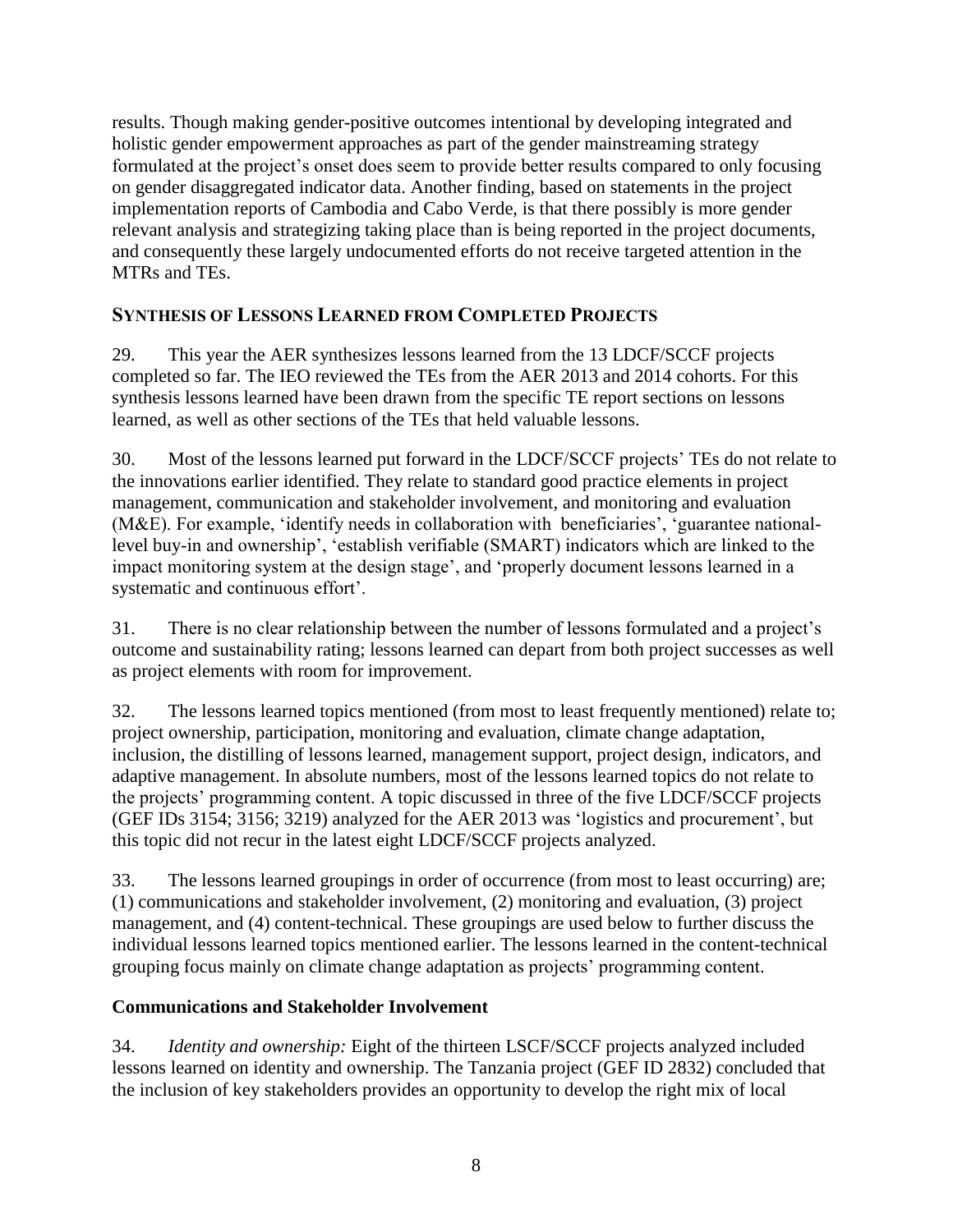results. Though making gender-positive outcomes intentional by developing integrated and holistic gender empowerment approaches as part of the gender mainstreaming strategy formulated at the project's onset does seem to provide better results compared to only focusing on gender disaggregated indicator data. Another finding, based on statements in the project implementation reports of Cambodia and Cabo Verde, is that there possibly is more gender relevant analysis and strategizing taking place than is being reported in the project documents, and consequently these largely undocumented efforts do not receive targeted attention in the MTRs and TEs.

## <span id="page-11-0"></span>**SYNTHESIS OF LESSONS LEARNED FROM COMPLETED PROJECTS**

29. This year the AER synthesizes lessons learned from the 13 LDCF/SCCF projects completed so far. The IEO reviewed the TEs from the AER 2013 and 2014 cohorts. For this synthesis lessons learned have been drawn from the specific TE report sections on lessons learned, as well as other sections of the TEs that held valuable lessons.

30. Most of the lessons learned put forward in the LDCF/SCCF projects' TEs do not relate to the innovations earlier identified. They relate to standard good practice elements in project management, communication and stakeholder involvement, and monitoring and evaluation (M&E). For example, 'identify needs in collaboration with beneficiaries', 'guarantee nationallevel buy-in and ownership', 'establish verifiable (SMART) indicators which are linked to the impact monitoring system at the design stage', and 'properly document lessons learned in a systematic and continuous effort'.

31. There is no clear relationship between the number of lessons formulated and a project's outcome and sustainability rating; lessons learned can depart from both project successes as well as project elements with room for improvement.

32. The lessons learned topics mentioned (from most to least frequently mentioned) relate to; project ownership, participation, monitoring and evaluation, climate change adaptation, inclusion, the distilling of lessons learned, management support, project design, indicators, and adaptive management. In absolute numbers, most of the lessons learned topics do not relate to the projects' programming content. A topic discussed in three of the five LDCF/SCCF projects (GEF IDs 3154; 3156; 3219) analyzed for the AER 2013 was 'logistics and procurement', but this topic did not recur in the latest eight LDCF/SCCF projects analyzed.

33. The lessons learned groupings in order of occurrence (from most to least occurring) are; (1) communications and stakeholder involvement, (2) monitoring and evaluation, (3) project management, and (4) content-technical. These groupings are used below to further discuss the individual lessons learned topics mentioned earlier. The lessons learned in the content-technical grouping focus mainly on climate change adaptation as projects' programming content.

#### <span id="page-11-1"></span>**Communications and Stakeholder Involvement**

34. *Identity and ownership:* Eight of the thirteen LSCF/SCCF projects analyzed included lessons learned on identity and ownership. The Tanzania project (GEF ID 2832) concluded that the inclusion of key stakeholders provides an opportunity to develop the right mix of local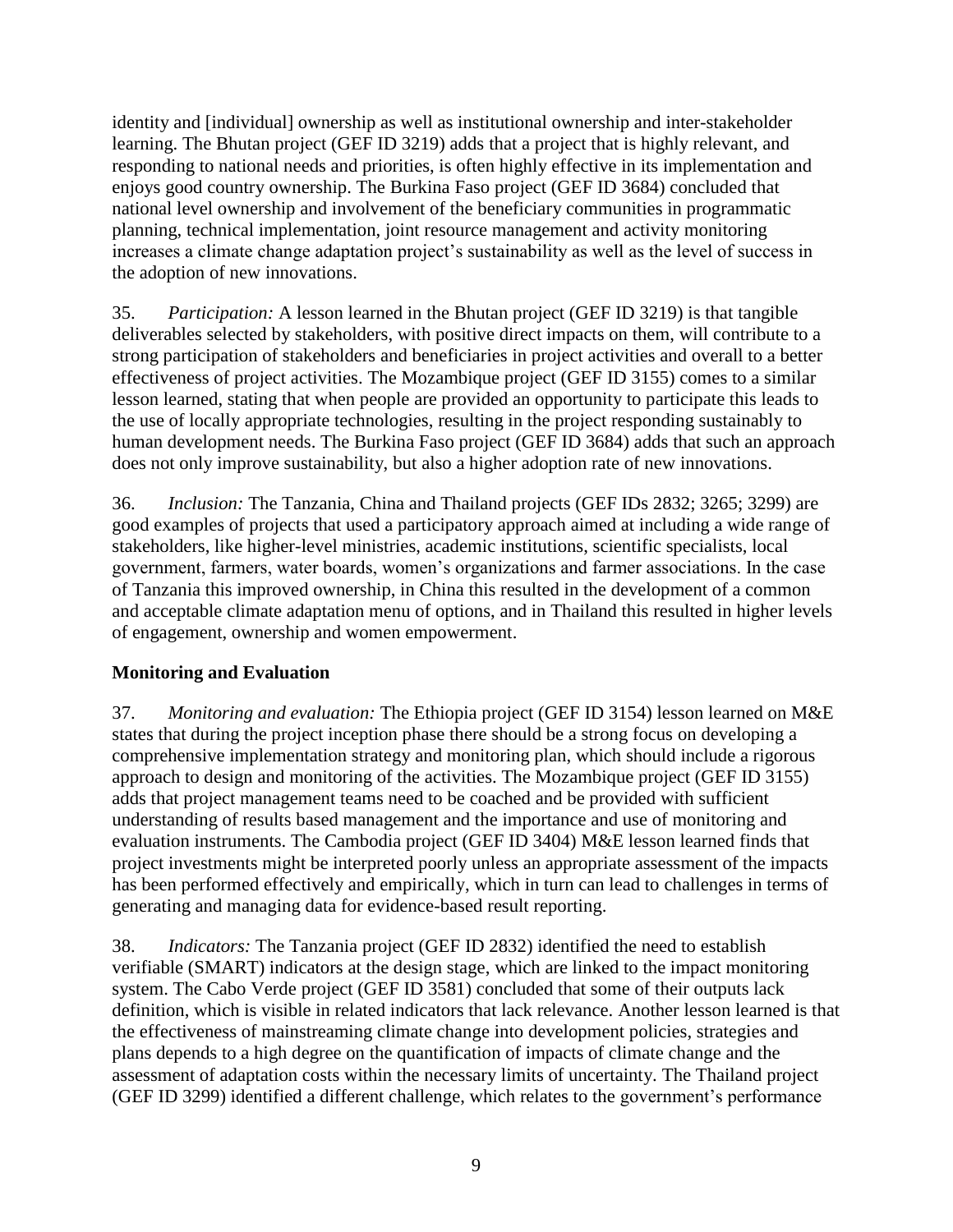identity and [individual] ownership as well as institutional ownership and inter-stakeholder learning. The Bhutan project (GEF ID 3219) adds that a project that is highly relevant, and responding to national needs and priorities, is often highly effective in its implementation and enjoys good country ownership. The Burkina Faso project (GEF ID 3684) concluded that national level ownership and involvement of the beneficiary communities in programmatic planning, technical implementation, joint resource management and activity monitoring increases a climate change adaptation project's sustainability as well as the level of success in the adoption of new innovations.

35. *Participation:* A lesson learned in the Bhutan project (GEF ID 3219) is that tangible deliverables selected by stakeholders, with positive direct impacts on them, will contribute to a strong participation of stakeholders and beneficiaries in project activities and overall to a better effectiveness of project activities. The Mozambique project (GEF ID 3155) comes to a similar lesson learned, stating that when people are provided an opportunity to participate this leads to the use of locally appropriate technologies, resulting in the project responding sustainably to human development needs. The Burkina Faso project (GEF ID 3684) adds that such an approach does not only improve sustainability, but also a higher adoption rate of new innovations.

36. *Inclusion:* The Tanzania, China and Thailand projects (GEF IDs 2832; 3265; 3299) are good examples of projects that used a participatory approach aimed at including a wide range of stakeholders, like higher-level ministries, academic institutions, scientific specialists, local government, farmers, water boards, women's organizations and farmer associations. In the case of Tanzania this improved ownership, in China this resulted in the development of a common and acceptable climate adaptation menu of options, and in Thailand this resulted in higher levels of engagement, ownership and women empowerment.

#### <span id="page-12-0"></span>**Monitoring and Evaluation**

37. *Monitoring and evaluation:* The Ethiopia project (GEF ID 3154) lesson learned on M&E states that during the project inception phase there should be a strong focus on developing a comprehensive implementation strategy and monitoring plan, which should include a rigorous approach to design and monitoring of the activities. The Mozambique project (GEF ID 3155) adds that project management teams need to be coached and be provided with sufficient understanding of results based management and the importance and use of monitoring and evaluation instruments. The Cambodia project (GEF ID 3404) M&E lesson learned finds that project investments might be interpreted poorly unless an appropriate assessment of the impacts has been performed effectively and empirically, which in turn can lead to challenges in terms of generating and managing data for evidence-based result reporting.

38. *Indicators:* The Tanzania project (GEF ID 2832) identified the need to establish verifiable (SMART) indicators at the design stage, which are linked to the impact monitoring system. The Cabo Verde project (GEF ID 3581) concluded that some of their outputs lack definition, which is visible in related indicators that lack relevance. Another lesson learned is that the effectiveness of mainstreaming climate change into development policies, strategies and plans depends to a high degree on the quantification of impacts of climate change and the assessment of adaptation costs within the necessary limits of uncertainty. The Thailand project (GEF ID 3299) identified a different challenge, which relates to the government's performance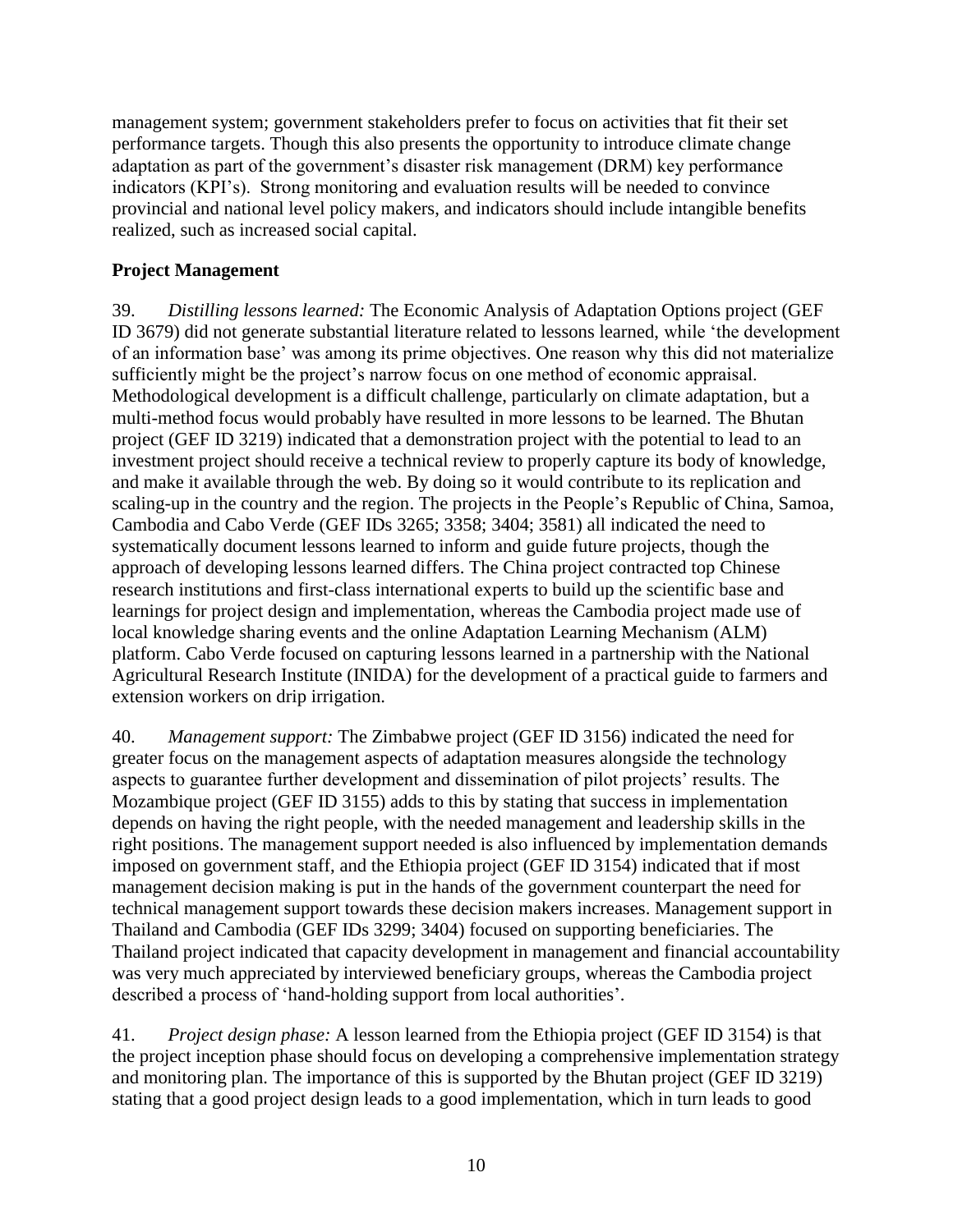management system; government stakeholders prefer to focus on activities that fit their set performance targets. Though this also presents the opportunity to introduce climate change adaptation as part of the government's disaster risk management (DRM) key performance indicators (KPI's). Strong monitoring and evaluation results will be needed to convince provincial and national level policy makers, and indicators should include intangible benefits realized, such as increased social capital.

#### <span id="page-13-0"></span>**Project Management**

39. *Distilling lessons learned:* The Economic Analysis of Adaptation Options project (GEF ID 3679) did not generate substantial literature related to lessons learned, while 'the development of an information base' was among its prime objectives. One reason why this did not materialize sufficiently might be the project's narrow focus on one method of economic appraisal. Methodological development is a difficult challenge, particularly on climate adaptation, but a multi-method focus would probably have resulted in more lessons to be learned. The Bhutan project (GEF ID 3219) indicated that a demonstration project with the potential to lead to an investment project should receive a technical review to properly capture its body of knowledge, and make it available through the web. By doing so it would contribute to its replication and scaling-up in the country and the region. The projects in the People's Republic of China, Samoa, Cambodia and Cabo Verde (GEF IDs 3265; 3358; 3404; 3581) all indicated the need to systematically document lessons learned to inform and guide future projects, though the approach of developing lessons learned differs. The China project contracted top Chinese research institutions and first-class international experts to build up the scientific base and learnings for project design and implementation, whereas the Cambodia project made use of local knowledge sharing events and the online Adaptation Learning Mechanism (ALM) platform. Cabo Verde focused on capturing lessons learned in a partnership with the National Agricultural Research Institute (INIDA) for the development of a practical guide to farmers and extension workers on drip irrigation.

40. *Management support:* The Zimbabwe project (GEF ID 3156) indicated the need for greater focus on the management aspects of adaptation measures alongside the technology aspects to guarantee further development and dissemination of pilot projects' results. The Mozambique project (GEF ID 3155) adds to this by stating that success in implementation depends on having the right people, with the needed management and leadership skills in the right positions. The management support needed is also influenced by implementation demands imposed on government staff, and the Ethiopia project (GEF ID 3154) indicated that if most management decision making is put in the hands of the government counterpart the need for technical management support towards these decision makers increases. Management support in Thailand and Cambodia (GEF IDs 3299; 3404) focused on supporting beneficiaries. The Thailand project indicated that capacity development in management and financial accountability was very much appreciated by interviewed beneficiary groups, whereas the Cambodia project described a process of 'hand-holding support from local authorities'.

41. *Project design phase:* A lesson learned from the Ethiopia project (GEF ID 3154) is that the project inception phase should focus on developing a comprehensive implementation strategy and monitoring plan. The importance of this is supported by the Bhutan project (GEF ID 3219) stating that a good project design leads to a good implementation, which in turn leads to good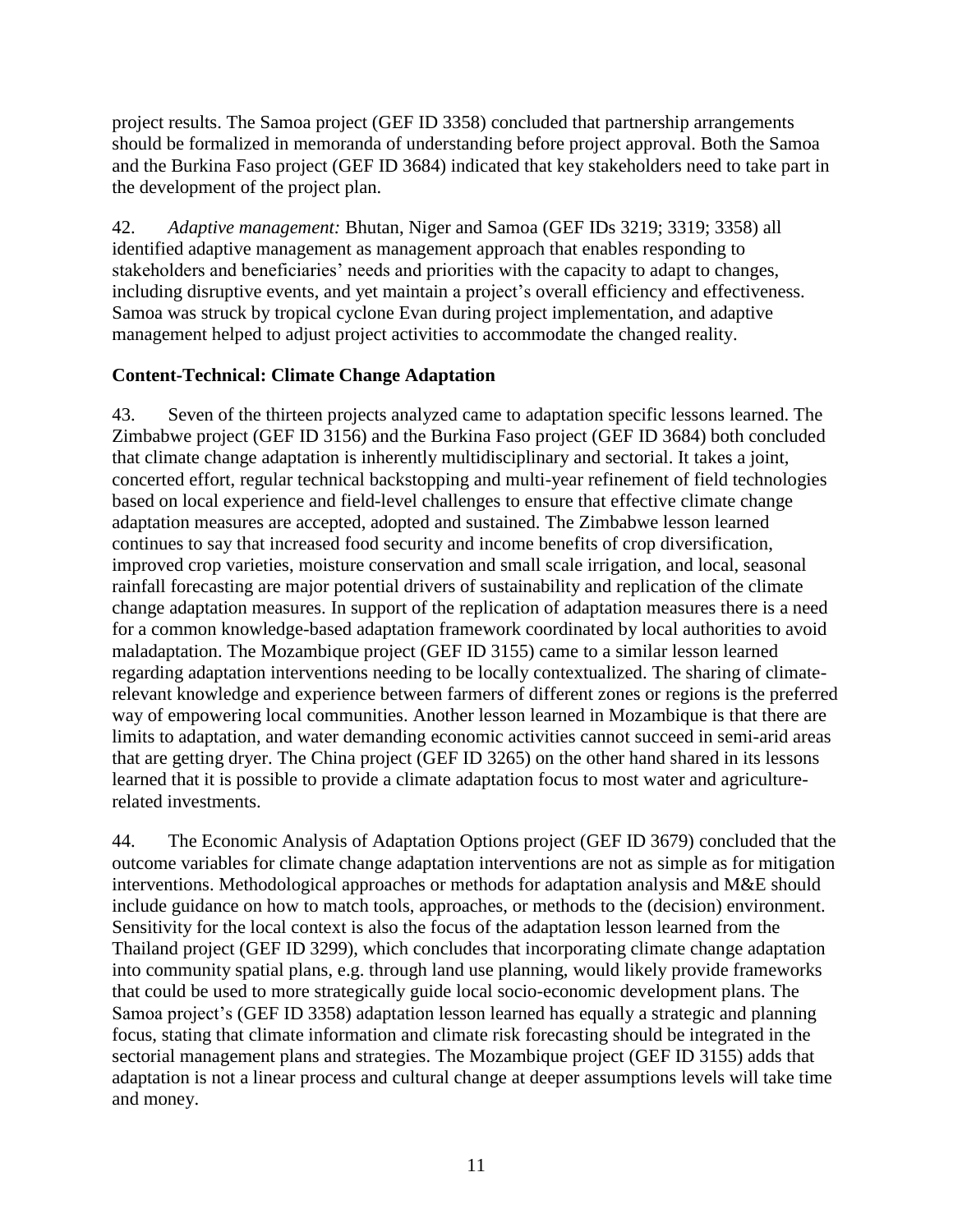project results. The Samoa project (GEF ID 3358) concluded that partnership arrangements should be formalized in memoranda of understanding before project approval. Both the Samoa and the Burkina Faso project (GEF ID 3684) indicated that key stakeholders need to take part in the development of the project plan.

42. *Adaptive management:* Bhutan, Niger and Samoa (GEF IDs 3219; 3319; 3358) all identified adaptive management as management approach that enables responding to stakeholders and beneficiaries' needs and priorities with the capacity to adapt to changes, including disruptive events, and yet maintain a project's overall efficiency and effectiveness. Samoa was struck by tropical cyclone Evan during project implementation, and adaptive management helped to adjust project activities to accommodate the changed reality.

# <span id="page-14-0"></span>**Content-Technical: Climate Change Adaptation**

43. Seven of the thirteen projects analyzed came to adaptation specific lessons learned. The Zimbabwe project (GEF ID 3156) and the Burkina Faso project (GEF ID 3684) both concluded that climate change adaptation is inherently multidisciplinary and sectorial. It takes a joint, concerted effort, regular technical backstopping and multi-year refinement of field technologies based on local experience and field-level challenges to ensure that effective climate change adaptation measures are accepted, adopted and sustained. The Zimbabwe lesson learned continues to say that increased food security and income benefits of crop diversification, improved crop varieties, moisture conservation and small scale irrigation, and local, seasonal rainfall forecasting are major potential drivers of sustainability and replication of the climate change adaptation measures. In support of the replication of adaptation measures there is a need for a common knowledge-based adaptation framework coordinated by local authorities to avoid maladaptation. The Mozambique project (GEF ID 3155) came to a similar lesson learned regarding adaptation interventions needing to be locally contextualized. The sharing of climaterelevant knowledge and experience between farmers of different zones or regions is the preferred way of empowering local communities. Another lesson learned in Mozambique is that there are limits to adaptation, and water demanding economic activities cannot succeed in semi-arid areas that are getting dryer. The China project (GEF ID 3265) on the other hand shared in its lessons learned that it is possible to provide a climate adaptation focus to most water and agriculturerelated investments.

44. The Economic Analysis of Adaptation Options project (GEF ID 3679) concluded that the outcome variables for climate change adaptation interventions are not as simple as for mitigation interventions. Methodological approaches or methods for adaptation analysis and M&E should include guidance on how to match tools, approaches, or methods to the (decision) environment. Sensitivity for the local context is also the focus of the adaptation lesson learned from the Thailand project (GEF ID 3299), which concludes that incorporating climate change adaptation into community spatial plans, e.g. through land use planning, would likely provide frameworks that could be used to more strategically guide local socio-economic development plans. The Samoa project's (GEF ID 3358) adaptation lesson learned has equally a strategic and planning focus, stating that climate information and climate risk forecasting should be integrated in the sectorial management plans and strategies. The Mozambique project (GEF ID 3155) adds that adaptation is not a linear process and cultural change at deeper assumptions levels will take time and money.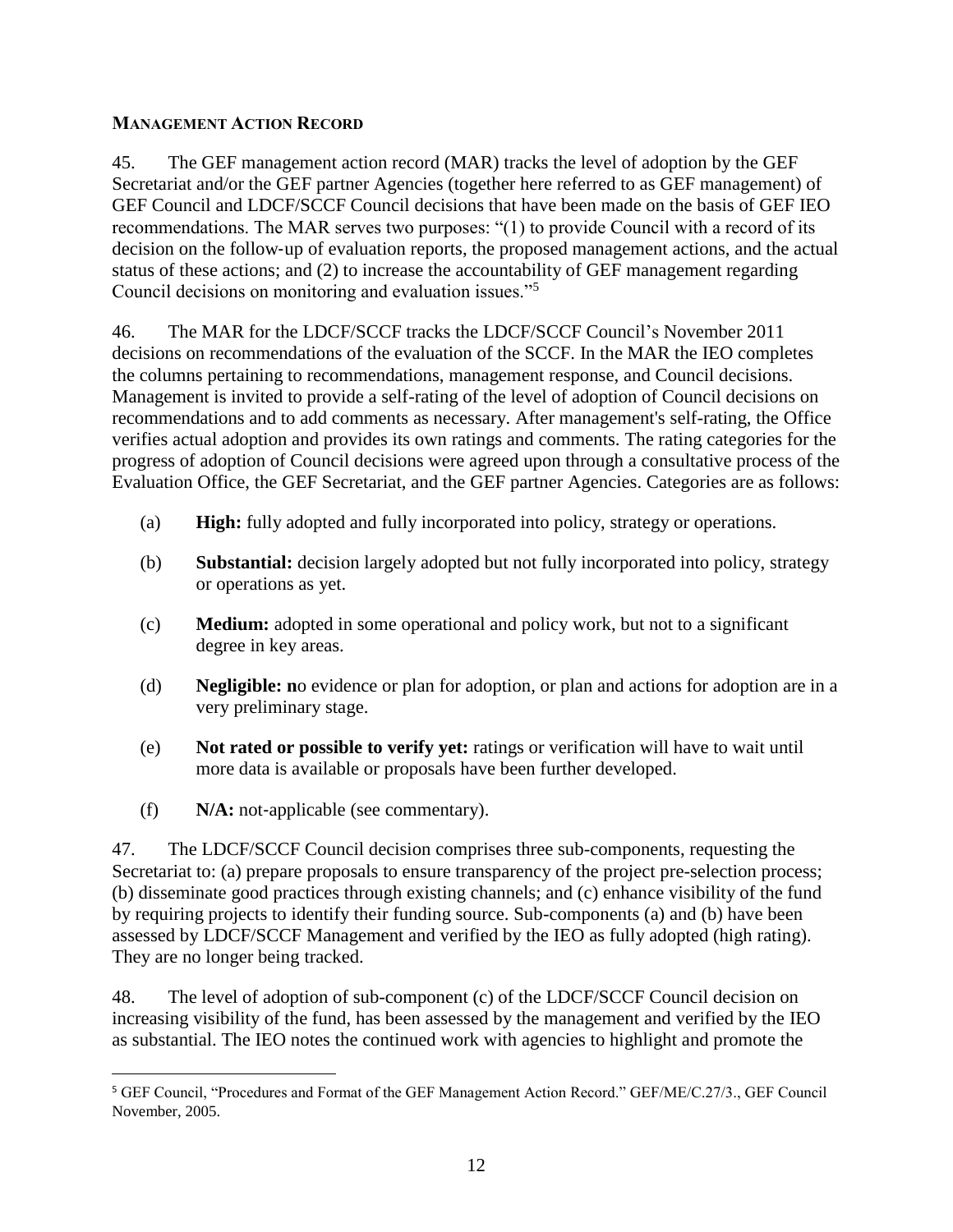#### <span id="page-15-0"></span>**MANAGEMENT ACTION RECORD**

45. The GEF management action record (MAR) tracks the level of adoption by the GEF Secretariat and/or the GEF partner Agencies (together here referred to as GEF management) of GEF Council and LDCF/SCCF Council decisions that have been made on the basis of GEF IEO recommendations. The MAR serves two purposes: "(1) to provide Council with a record of its decision on the follow‐up of evaluation reports, the proposed management actions, and the actual status of these actions; and (2) to increase the accountability of GEF management regarding Council decisions on monitoring and evaluation issues."<sup>5</sup>

46. The MAR for the LDCF/SCCF tracks the LDCF/SCCF Council's November 2011 decisions on recommendations of the evaluation of the SCCF. In the MAR the IEO completes the columns pertaining to recommendations, management response, and Council decisions. Management is invited to provide a self-rating of the level of adoption of Council decisions on recommendations and to add comments as necessary. After management's self-rating, the Office verifies actual adoption and provides its own ratings and comments. The rating categories for the progress of adoption of Council decisions were agreed upon through a consultative process of the Evaluation Office, the GEF Secretariat, and the GEF partner Agencies. Categories are as follows:

- (a) **High:** fully adopted and fully incorporated into policy, strategy or operations.
- (b) **Substantial:** decision largely adopted but not fully incorporated into policy, strategy or operations as yet.
- (c) **Medium:** adopted in some operational and policy work, but not to a significant degree in key areas.
- (d) **Negligible: n**o evidence or plan for adoption, or plan and actions for adoption are in a very preliminary stage.
- (e) **Not rated or possible to verify yet:** ratings or verification will have to wait until more data is available or proposals have been further developed.
- (f) **N/A:** not‐applicable (see commentary).

 $\overline{a}$ 

47. The LDCF/SCCF Council decision comprises three sub-components, requesting the Secretariat to: (a) prepare proposals to ensure transparency of the project pre-selection process; (b) disseminate good practices through existing channels; and (c) enhance visibility of the fund by requiring projects to identify their funding source. Sub-components (a) and (b) have been assessed by LDCF/SCCF Management and verified by the IEO as fully adopted (high rating). They are no longer being tracked.

48. The level of adoption of sub-component (c) of the LDCF/SCCF Council decision on increasing visibility of the fund, has been assessed by the management and verified by the IEO as substantial. The IEO notes the continued work with agencies to highlight and promote the

<sup>5</sup> GEF Council, "Procedures and Format of the GEF Management Action Record." GEF/ME/C.27/3., GEF Council November, 2005.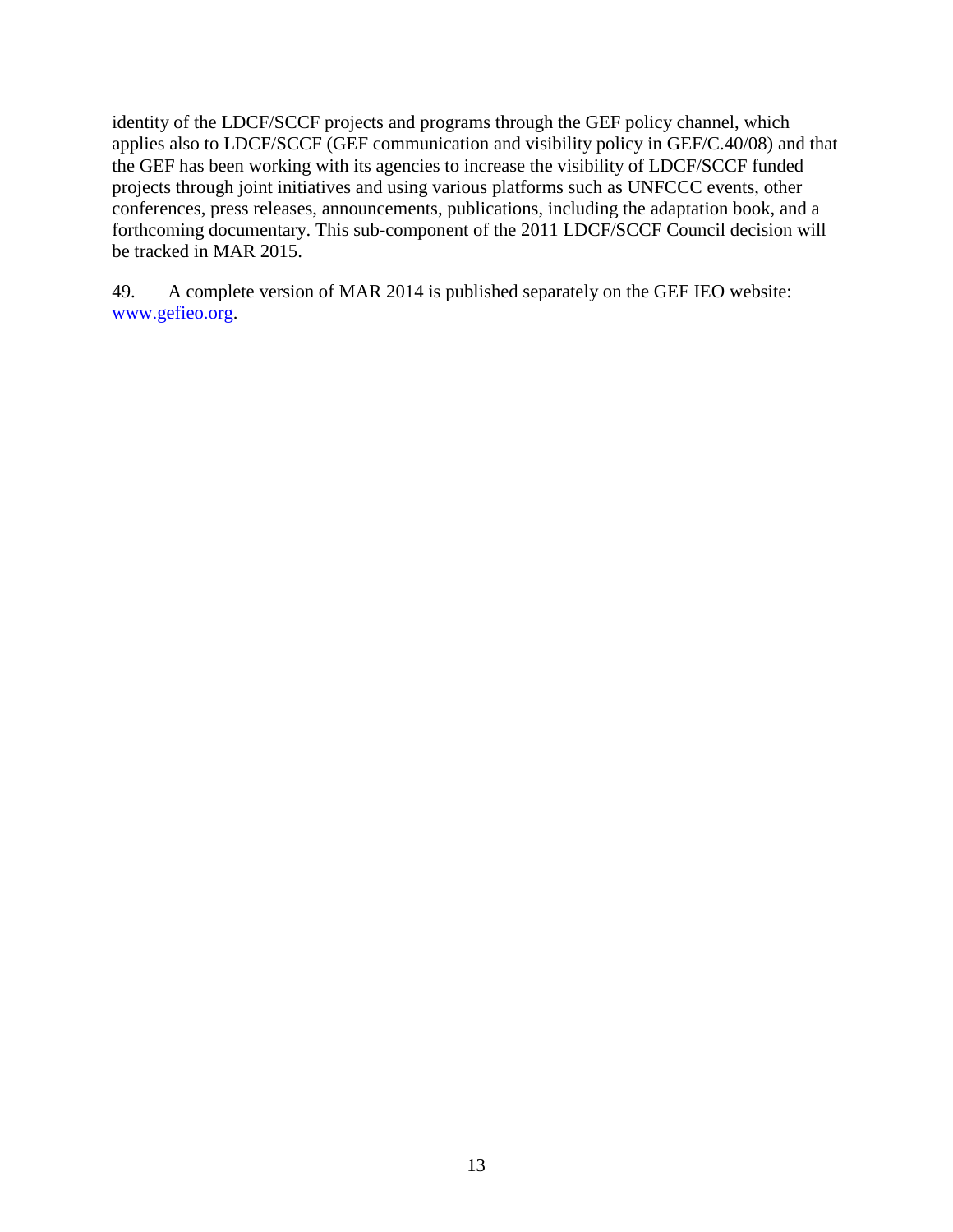identity of the LDCF/SCCF projects and programs through the GEF policy channel, which applies also to LDCF/SCCF (GEF communication and visibility policy in GEF/C.40/08) and that the GEF has been working with its agencies to increase the visibility of LDCF/SCCF funded projects through joint initiatives and using various platforms such as UNFCCC events, other conferences, press releases, announcements, publications, including the adaptation book, and a forthcoming documentary. This sub-component of the 2011 LDCF/SCCF Council decision will be tracked in MAR 2015.

49. A complete version of MAR 2014 is published separately on the GEF IEO website: www.gefieo.org.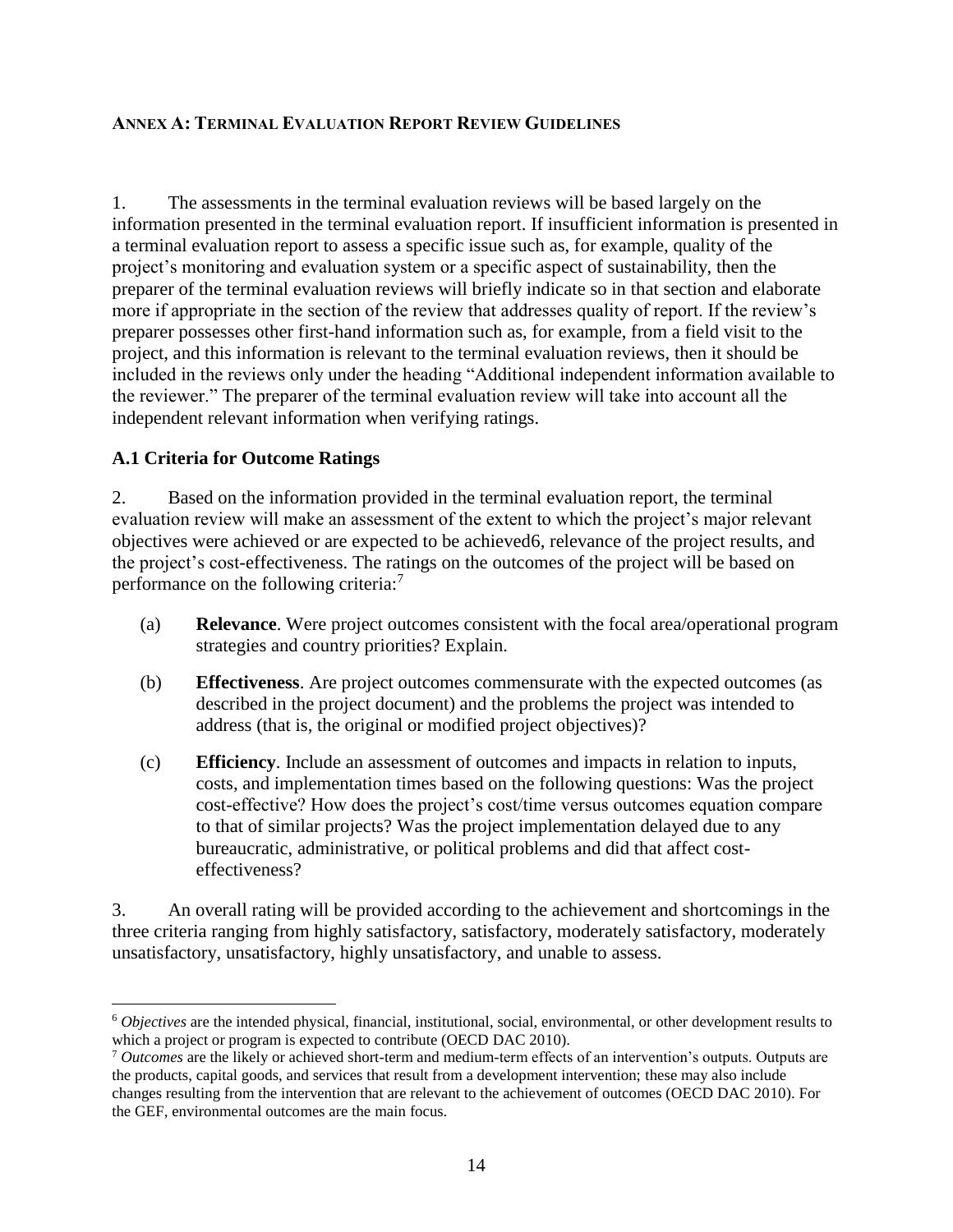#### <span id="page-17-0"></span>**ANNEX A: TERMINAL EVALUATION REPORT REVIEW GUIDELINES**

1. The assessments in the terminal evaluation reviews will be based largely on the information presented in the terminal evaluation report. If insufficient information is presented in a terminal evaluation report to assess a specific issue such as, for example, quality of the project's monitoring and evaluation system or a specific aspect of sustainability, then the preparer of the terminal evaluation reviews will briefly indicate so in that section and elaborate more if appropriate in the section of the review that addresses quality of report. If the review's preparer possesses other first-hand information such as, for example, from a field visit to the project, and this information is relevant to the terminal evaluation reviews, then it should be included in the reviews only under the heading "Additional independent information available to the reviewer." The preparer of the terminal evaluation review will take into account all the independent relevant information when verifying ratings.

#### <span id="page-17-1"></span>**A.1 Criteria for Outcome Ratings**

 $\overline{a}$ 

2. Based on the information provided in the terminal evaluation report, the terminal evaluation review will make an assessment of the extent to which the project's major relevant objectives were achieved or are expected to be achieved6, relevance of the project results, and the project's cost-effectiveness. The ratings on the outcomes of the project will be based on performance on the following criteria:<sup>7</sup>

- (a) **Relevance**. Were project outcomes consistent with the focal area/operational program strategies and country priorities? Explain.
- (b) **Effectiveness**. Are project outcomes commensurate with the expected outcomes (as described in the project document) and the problems the project was intended to address (that is, the original or modified project objectives)?
- (c) **Efficiency**. Include an assessment of outcomes and impacts in relation to inputs, costs, and implementation times based on the following questions: Was the project cost-effective? How does the project's cost/time versus outcomes equation compare to that of similar projects? Was the project implementation delayed due to any bureaucratic, administrative, or political problems and did that affect costeffectiveness?

3. An overall rating will be provided according to the achievement and shortcomings in the three criteria ranging from highly satisfactory, satisfactory, moderately satisfactory, moderately unsatisfactory, unsatisfactory, highly unsatisfactory, and unable to assess.

<sup>6</sup> *Objectives* are the intended physical, financial, institutional, social, environmental, or other development results to which a project or program is expected to contribute (OECD DAC 2010).

<sup>7</sup> *Outcomes* are the likely or achieved short-term and medium-term effects of an intervention's outputs. Outputs are the products, capital goods, and services that result from a development intervention; these may also include changes resulting from the intervention that are relevant to the achievement of outcomes (OECD DAC 2010). For the GEF, environmental outcomes are the main focus.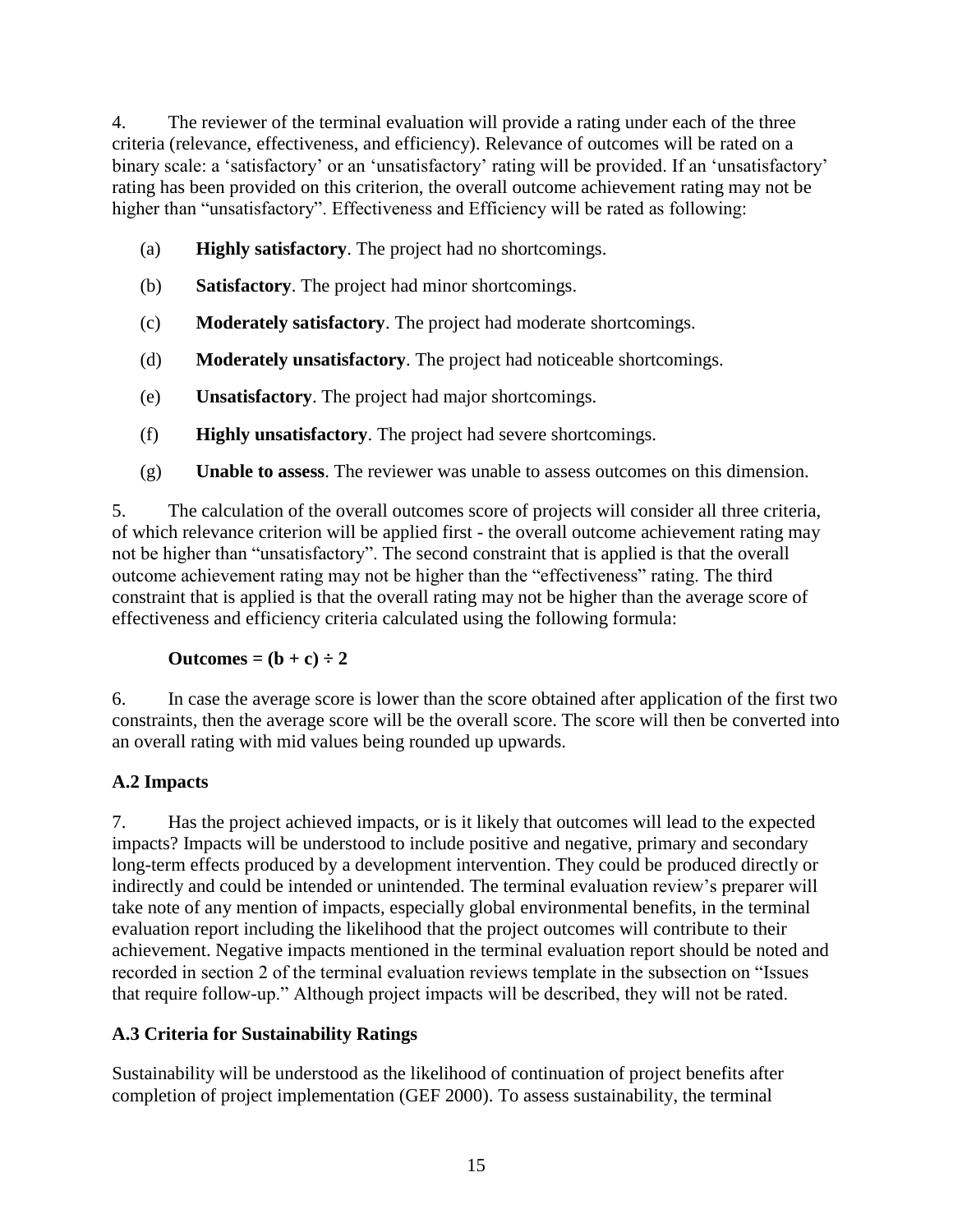4. The reviewer of the terminal evaluation will provide a rating under each of the three criteria (relevance, effectiveness, and efficiency). Relevance of outcomes will be rated on a binary scale: a 'satisfactory' or an 'unsatisfactory' rating will be provided. If an 'unsatisfactory' rating has been provided on this criterion, the overall outcome achievement rating may not be higher than "unsatisfactory". Effectiveness and Efficiency will be rated as following:

- (a) **Highly satisfactory**. The project had no shortcomings.
- (b) **Satisfactory**. The project had minor shortcomings.
- (c) **Moderately satisfactory**. The project had moderate shortcomings.
- (d) **Moderately unsatisfactory**. The project had noticeable shortcomings.
- (e) **Unsatisfactory**. The project had major shortcomings.
- (f) **Highly unsatisfactory**. The project had severe shortcomings.
- (g) **Unable to assess**. The reviewer was unable to assess outcomes on this dimension.

5. The calculation of the overall outcomes score of projects will consider all three criteria, of which relevance criterion will be applied first - the overall outcome achievement rating may not be higher than "unsatisfactory". The second constraint that is applied is that the overall outcome achievement rating may not be higher than the "effectiveness" rating. The third constraint that is applied is that the overall rating may not be higher than the average score of effectiveness and efficiency criteria calculated using the following formula:

$$
Outcomes = (b + c) \div 2
$$

6. In case the average score is lower than the score obtained after application of the first two constraints, then the average score will be the overall score. The score will then be converted into an overall rating with mid values being rounded up upwards.

# <span id="page-18-0"></span>**A.2 Impacts**

7. Has the project achieved impacts, or is it likely that outcomes will lead to the expected impacts? Impacts will be understood to include positive and negative, primary and secondary long-term effects produced by a development intervention. They could be produced directly or indirectly and could be intended or unintended. The terminal evaluation review's preparer will take note of any mention of impacts, especially global environmental benefits, in the terminal evaluation report including the likelihood that the project outcomes will contribute to their achievement. Negative impacts mentioned in the terminal evaluation report should be noted and recorded in section 2 of the terminal evaluation reviews template in the subsection on "Issues that require follow-up." Although project impacts will be described, they will not be rated.

# <span id="page-18-1"></span>**A.3 Criteria for Sustainability Ratings**

Sustainability will be understood as the likelihood of continuation of project benefits after completion of project implementation (GEF 2000). To assess sustainability, the terminal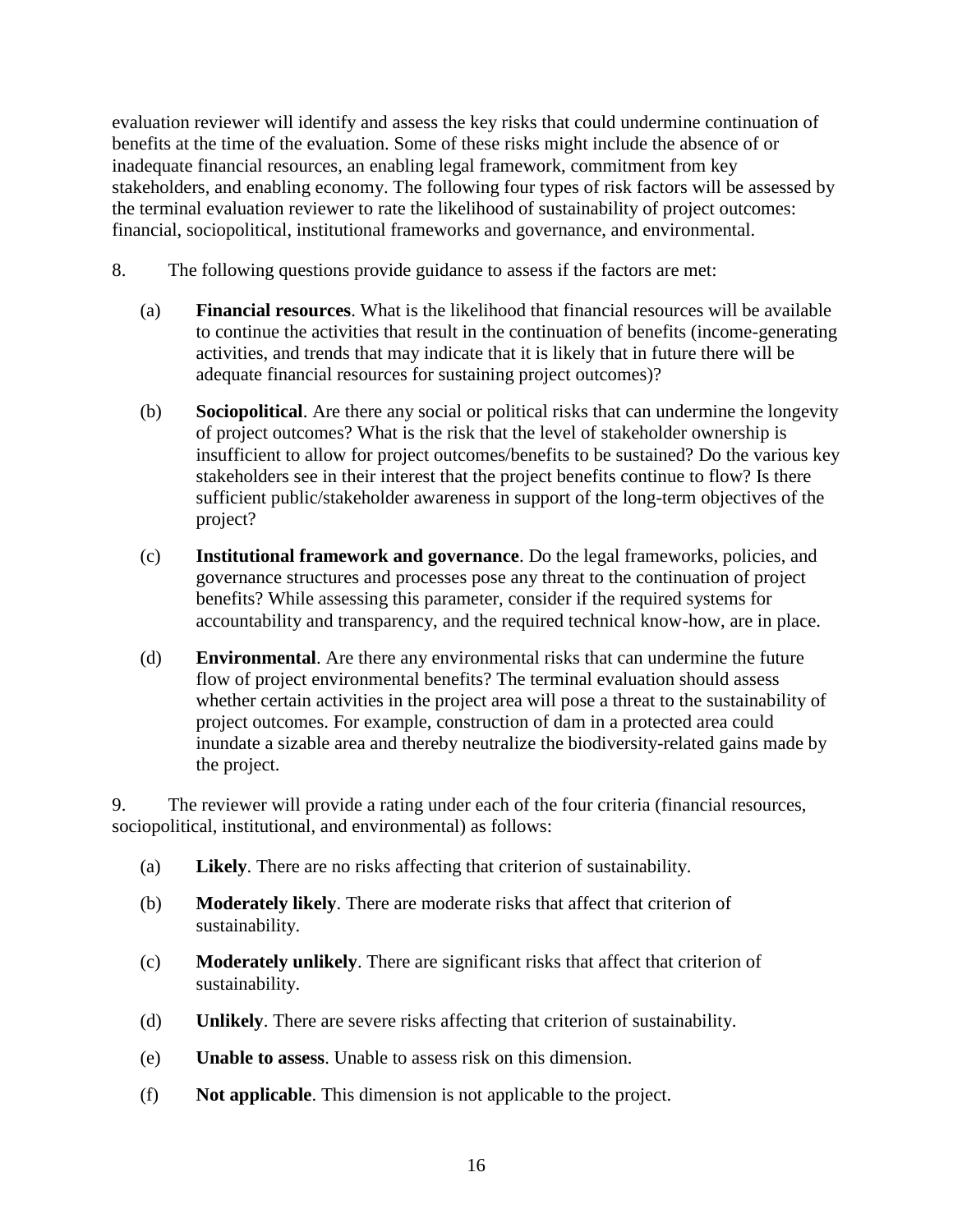evaluation reviewer will identify and assess the key risks that could undermine continuation of benefits at the time of the evaluation. Some of these risks might include the absence of or inadequate financial resources, an enabling legal framework, commitment from key stakeholders, and enabling economy. The following four types of risk factors will be assessed by the terminal evaluation reviewer to rate the likelihood of sustainability of project outcomes: financial, sociopolitical, institutional frameworks and governance, and environmental.

- 8. The following questions provide guidance to assess if the factors are met:
	- (a) **Financial resources**. What is the likelihood that financial resources will be available to continue the activities that result in the continuation of benefits (income-generating activities, and trends that may indicate that it is likely that in future there will be adequate financial resources for sustaining project outcomes)?
	- (b) **Sociopolitical**. Are there any social or political risks that can undermine the longevity of project outcomes? What is the risk that the level of stakeholder ownership is insufficient to allow for project outcomes/benefits to be sustained? Do the various key stakeholders see in their interest that the project benefits continue to flow? Is there sufficient public/stakeholder awareness in support of the long-term objectives of the project?
	- (c) **Institutional framework and governance**. Do the legal frameworks, policies, and governance structures and processes pose any threat to the continuation of project benefits? While assessing this parameter, consider if the required systems for accountability and transparency, and the required technical know-how, are in place.
	- (d) **Environmental**. Are there any environmental risks that can undermine the future flow of project environmental benefits? The terminal evaluation should assess whether certain activities in the project area will pose a threat to the sustainability of project outcomes. For example, construction of dam in a protected area could inundate a sizable area and thereby neutralize the biodiversity-related gains made by the project.

9. The reviewer will provide a rating under each of the four criteria (financial resources, sociopolitical, institutional, and environmental) as follows:

- (a) **Likely**. There are no risks affecting that criterion of sustainability.
- (b) **Moderately likely**. There are moderate risks that affect that criterion of sustainability.
- (c) **Moderately unlikely**. There are significant risks that affect that criterion of sustainability.
- (d) **Unlikely**. There are severe risks affecting that criterion of sustainability.
- (e) **Unable to assess**. Unable to assess risk on this dimension.
- (f) **Not applicable**. This dimension is not applicable to the project.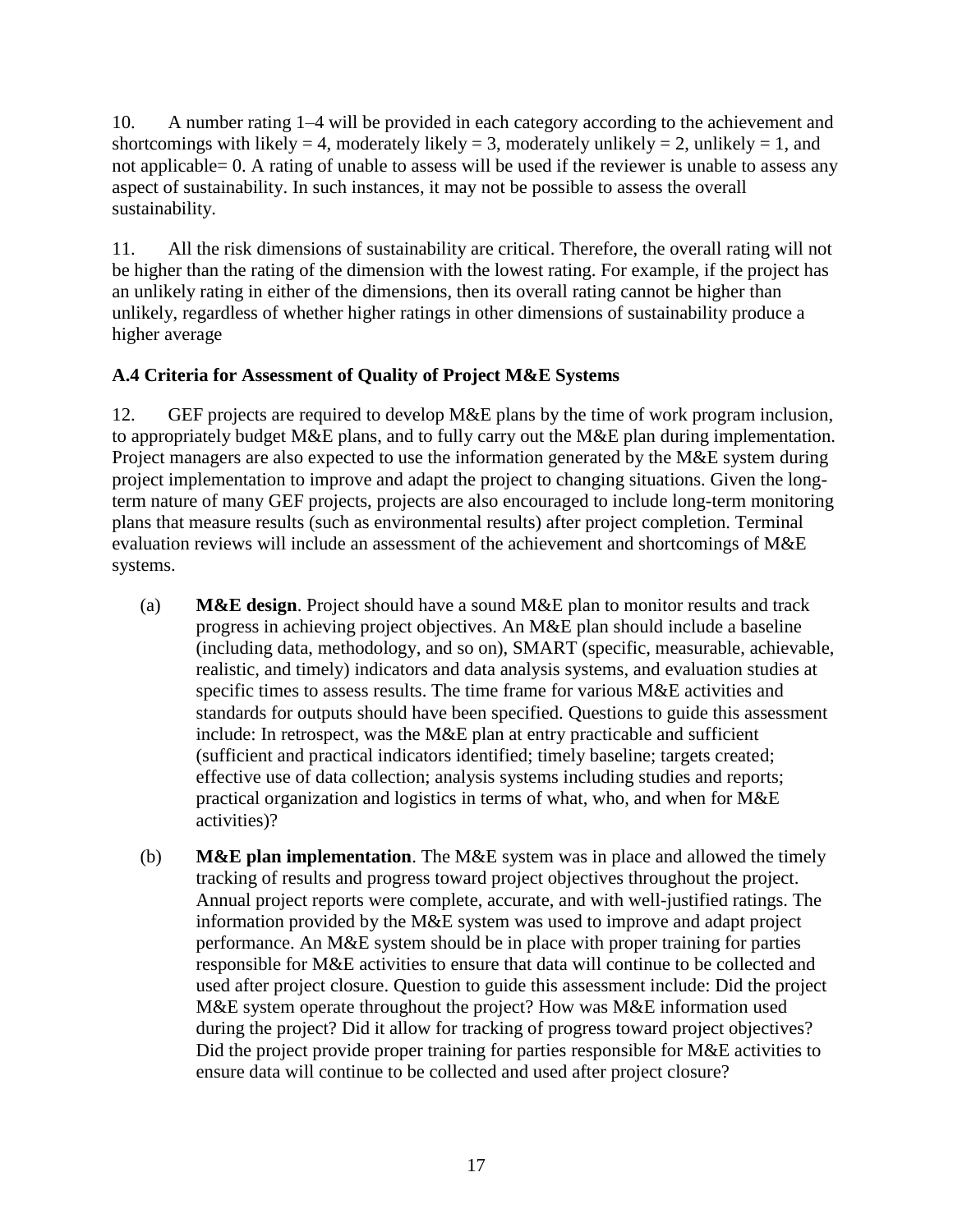10. A number rating 1–4 will be provided in each category according to the achievement and shortcomings with likely = 4, moderately likely = 3, moderately unlikely = 2, unlikely = 1, and not applicable= 0. A rating of unable to assess will be used if the reviewer is unable to assess any aspect of sustainability. In such instances, it may not be possible to assess the overall sustainability.

11. All the risk dimensions of sustainability are critical. Therefore, the overall rating will not be higher than the rating of the dimension with the lowest rating. For example, if the project has an unlikely rating in either of the dimensions, then its overall rating cannot be higher than unlikely, regardless of whether higher ratings in other dimensions of sustainability produce a higher average

# <span id="page-20-0"></span>**A.4 Criteria for Assessment of Quality of Project M&E Systems**

12. GEF projects are required to develop M&E plans by the time of work program inclusion, to appropriately budget M&E plans, and to fully carry out the M&E plan during implementation. Project managers are also expected to use the information generated by the M&E system during project implementation to improve and adapt the project to changing situations. Given the longterm nature of many GEF projects, projects are also encouraged to include long-term monitoring plans that measure results (such as environmental results) after project completion. Terminal evaluation reviews will include an assessment of the achievement and shortcomings of M&E systems.

- (a) **M&E design**. Project should have a sound M&E plan to monitor results and track progress in achieving project objectives. An M&E plan should include a baseline (including data, methodology, and so on), SMART (specific, measurable, achievable, realistic, and timely) indicators and data analysis systems, and evaluation studies at specific times to assess results. The time frame for various M&E activities and standards for outputs should have been specified. Questions to guide this assessment include: In retrospect, was the M&E plan at entry practicable and sufficient (sufficient and practical indicators identified; timely baseline; targets created; effective use of data collection; analysis systems including studies and reports; practical organization and logistics in terms of what, who, and when for M&E activities)?
- (b) **M&E plan implementation**. The M&E system was in place and allowed the timely tracking of results and progress toward project objectives throughout the project. Annual project reports were complete, accurate, and with well-justified ratings. The information provided by the M&E system was used to improve and adapt project performance. An M&E system should be in place with proper training for parties responsible for M&E activities to ensure that data will continue to be collected and used after project closure. Question to guide this assessment include: Did the project M&E system operate throughout the project? How was M&E information used during the project? Did it allow for tracking of progress toward project objectives? Did the project provide proper training for parties responsible for M&E activities to ensure data will continue to be collected and used after project closure?